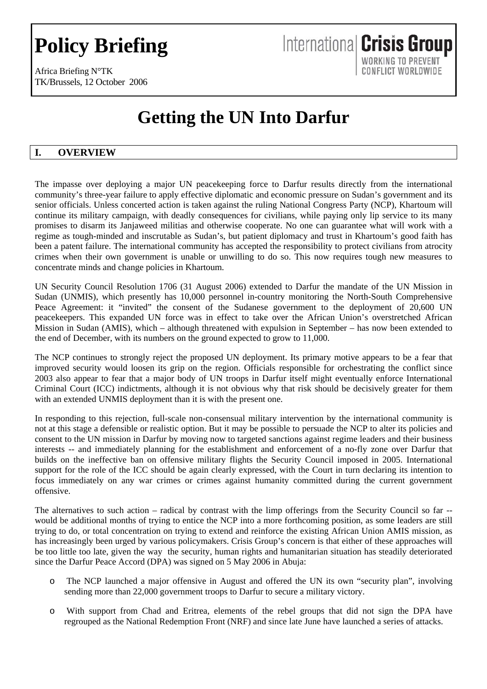# **Policy Briefing**

Africa Briefing N°TK TK/Brussels, 12 October 2006

# **Getting the UN Into Darfur**

International Crisis Group

WORKING TO PREVENT CONFLICT WORLDWIDE

# **I. OVERVIEW**

The impasse over deploying a major UN peacekeeping force to Darfur results directly from the international community's three-year failure to apply effective diplomatic and economic pressure on Sudan's government and its senior officials. Unless concerted action is taken against the ruling National Congress Party (NCP), Khartoum will continue its military campaign, with deadly consequences for civilians, while paying only lip service to its many promises to disarm its Janjaweed militias and otherwise cooperate. No one can guarantee what will work with a regime as tough-minded and inscrutable as Sudan's, but patient diplomacy and trust in Khartoum's good faith has been a patent failure. The international community has accepted the responsibility to protect civilians from atrocity crimes when their own government is unable or unwilling to do so. This now requires tough new measures to concentrate minds and change policies in Khartoum.

UN Security Council Resolution 1706 (31 August 2006) extended to Darfur the mandate of the UN Mission in Sudan (UNMIS), which presently has 10,000 personnel in-country monitoring the North-South Comprehensive Peace Agreement: it "invited" the consent of the Sudanese government to the deployment of 20,600 UN peacekeepers. This expanded UN force was in effect to take over the African Union's overstretched African Mission in Sudan (AMIS), which – although threatened with expulsion in September – has now been extended to the end of December, with its numbers on the ground expected to grow to 11,000.

The NCP continues to strongly reject the proposed UN deployment. Its primary motive appears to be a fear that improved security would loosen its grip on the region. Officials responsible for orchestrating the conflict since 2003 also appear to fear that a major body of UN troops in Darfur itself might eventually enforce International Criminal Court (ICC) indictments, although it is not obvious why that risk should be decisively greater for them with an extended UNMIS deployment than it is with the present one.

In responding to this rejection, full-scale non-consensual military intervention by the international community is not at this stage a defensible or realistic option. But it may be possible to persuade the NCP to alter its policies and consent to the UN mission in Darfur by moving now to targeted sanctions against regime leaders and their business interests -- and immediately planning for the establishment and enforcement of a no-fly zone over Darfur that builds on the ineffective ban on offensive military flights the Security Council imposed in 2005. International support for the role of the ICC should be again clearly expressed, with the Court in turn declaring its intention to focus immediately on any war crimes or crimes against humanity committed during the current government offensive.

The alternatives to such action – radical by contrast with the limp offerings from the Security Council so far -would be additional months of trying to entice the NCP into a more forthcoming position, as some leaders are still trying to do, or total concentration on trying to extend and reinforce the existing African Union AMIS mission, as has increasingly been urged by various policymakers. Crisis Group's concern is that either of these approaches will be too little too late, given the way the security, human rights and humanitarian situation has steadily deteriorated since the Darfur Peace Accord (DPA) was signed on 5 May 2006 in Abuja:

- o The NCP launched a major offensive in August and offered the UN its own "security plan", involving sending more than 22,000 government troops to Darfur to secure a military victory.
- o With support from Chad and Eritrea, elements of the rebel groups that did not sign the DPA have regrouped as the National Redemption Front (NRF) and since late June have launched a series of attacks.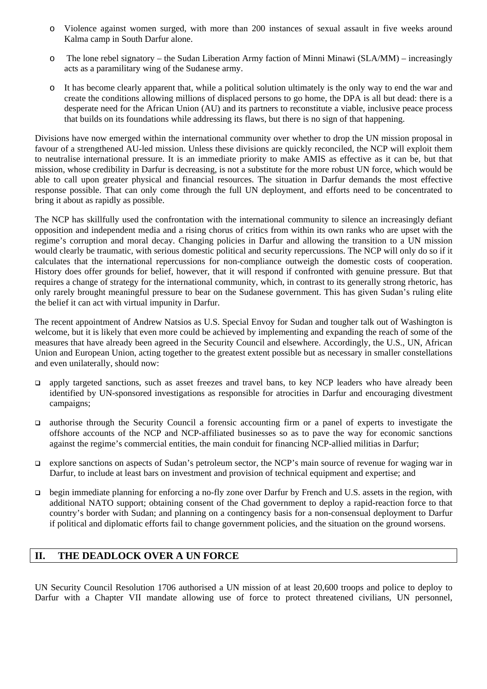- o Violence against women surged, with more than 200 instances of sexual assault in five weeks around Kalma camp in South Darfur alone.
- o The lone rebel signatory the Sudan Liberation Army faction of Minni Minawi (SLA/MM) increasingly acts as a paramilitary wing of the Sudanese army.
- o It has become clearly apparent that, while a political solution ultimately is the only way to end the war and create the conditions allowing millions of displaced persons to go home, the DPA is all but dead: there is a desperate need for the African Union (AU) and its partners to reconstitute a viable, inclusive peace process that builds on its foundations while addressing its flaws, but there is no sign of that happening.

Divisions have now emerged within the international community over whether to drop the UN mission proposal in favour of a strengthened AU-led mission. Unless these divisions are quickly reconciled, the NCP will exploit them to neutralise international pressure. It is an immediate priority to make AMIS as effective as it can be, but that mission, whose credibility in Darfur is decreasing, is not a substitute for the more robust UN force, which would be able to call upon greater physical and financial resources. The situation in Darfur demands the most effective response possible. That can only come through the full UN deployment, and efforts need to be concentrated to bring it about as rapidly as possible.

The NCP has skillfully used the confrontation with the international community to silence an increasingly defiant opposition and independent media and a rising chorus of critics from within its own ranks who are upset with the regime's corruption and moral decay. Changing policies in Darfur and allowing the transition to a UN mission would clearly be traumatic, with serious domestic political and security repercussions. The NCP will only do so if it calculates that the international repercussions for non-compliance outweigh the domestic costs of cooperation. History does offer grounds for belief, however, that it will respond if confronted with genuine pressure. But that requires a change of strategy for the international community, which, in contrast to its generally strong rhetoric, has only rarely brought meaningful pressure to bear on the Sudanese government. This has given Sudan's ruling elite the belief it can act with virtual impunity in Darfur.

The recent appointment of Andrew Natsios as U.S. Special Envoy for Sudan and tougher talk out of Washington is welcome, but it is likely that even more could be achieved by implementing and expanding the reach of some of the measures that have already been agreed in the Security Council and elsewhere. Accordingly, the U.S., UN, African Union and European Union, acting together to the greatest extent possible but as necessary in smaller constellations and even unilaterally, should now:

- apply targeted sanctions, such as asset freezes and travel bans, to key NCP leaders who have already been identified by UN-sponsored investigations as responsible for atrocities in Darfur and encouraging divestment campaigns;
- authorise through the Security Council a forensic accounting firm or a panel of experts to investigate the offshore accounts of the NCP and NCP-affiliated businesses so as to pave the way for economic sanctions against the regime's commercial entities, the main conduit for financing NCP-allied militias in Darfur;
- explore sanctions on aspects of Sudan's petroleum sector, the NCP's main source of revenue for waging war in Darfur, to include at least bars on investment and provision of technical equipment and expertise; and
- begin immediate planning for enforcing a no-fly zone over Darfur by French and U.S. assets in the region, with additional NATO support; obtaining consent of the Chad government to deploy a rapid-reaction force to that country's border with Sudan; and planning on a contingency basis for a non-consensual deployment to Darfur if political and diplomatic efforts fail to change government policies, and the situation on the ground worsens.

# **II. THE DEADLOCK OVER A UN FORCE**

UN Security Council Resolution 1706 authorised a UN mission of at least 20,600 troops and police to deploy to Darfur with a Chapter VII mandate allowing use of force to protect threatened civilians, UN personnel,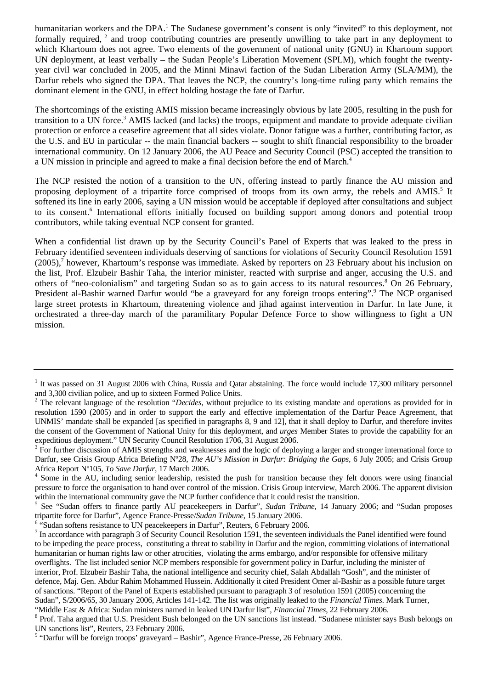humanitarian workers and the DPA.<sup>1</sup> The Sudanese government's consent is only "invited" to this deployment, not formally required, <sup>2</sup> and troop contributing countries are presently unwilling to take part in any deployment to which Khartoum does not agree. Two elements of the government of national unity (GNU) in Khartoum support UN deployment, at least verbally – the Sudan People's Liberation Movement (SPLM), which fought the twentyyear civil war concluded in 2005, and the Minni Minawi faction of the Sudan Liberation Army (SLA/MM), the Darfur rebels who signed the DPA. That leaves the NCP, the country's long-time ruling party which remains the dominant element in the GNU, in effect holding hostage the fate of Darfur.

The shortcomings of the existing AMIS mission became increasingly obvious by late 2005, resulting in the push for transition to a UN force.<sup>3</sup> AMIS lacked (and lacks) the troops, equipment and mandate to provide adequate civilian protection or enforce a ceasefire agreement that all sides violate. Donor fatigue was a further, contributing factor, as the U.S. and EU in particular -- the main financial backers -- sought to shift financial responsibility to the broader international community. On 12 January 2006, the AU Peace and Security Council (PSC) accepted the transition to a UN mission in principle and agreed to make a final decision before the end of March.<sup>4</sup>

The NCP resisted the notion of a transition to the UN, offering instead to partly finance the AU mission and proposing deployment of a tripartite force comprised of troops from its own army, the rebels and AMIS.<sup>[5](#page-2-4)</sup> It softened its line in early 2006, saying a UN mission would be acceptable if deployed after consultations and subject to its consent.<sup>6</sup> International efforts initially focused on building support among donors and potential troop contributors, while taking eventual NCP consent for granted.

When a confidential list drawn up by the Security Council's Panel of Experts that was leaked to the press in February identified seventeen individuals deserving of sanctions for violations of Security Council Resolution 1591 (2005),<sup>7</sup> however, Khartoum's response was immediate. Asked by reporters on 23 February about his inclusion on the list, Prof. Elzubeir Bashir Taha, the interior minister, reacted with surprise and anger, accusing the U.S. and others of "neo-colonialism" and targeting Sudan so as to gain access to its natural resources.<sup>[8](#page-2-7)</sup> On 26 February, President al-Bashir warned Darfur would "be a graveyard for any foreign troops entering".<sup>9</sup> The NCP organised large street protests in Khartoum, threatening violence and jihad against intervention in Darfur. In late June, it orchestrated a three-day march of the paramilitary Popular Defence Force to show willingness to fight a UN mission.

<span id="page-2-5"></span><sup>6</sup> "Sudan softens resistance to UN peacekeepers in Darfur", Reuters, 6 February 2006.

<span id="page-2-0"></span><sup>&</sup>lt;sup>1</sup> It was passed on 31 August 2006 with China, Russia and Qatar abstaining. The force would include 17,300 military personnel and 3,300 civilian police, and up to sixteen Formed Police Units.

<span id="page-2-1"></span><sup>&</sup>lt;sup>2</sup> The relevant language of the resolution "*Decides*, without prejudice to its existing mandate and operations as provided for in resolution 1590 (2005) and in order to support the early and effective implementation of the Darfur Peace Agreement, that UNMIS' mandate shall be expanded [as specified in paragraphs 8, 9 and 12], that it shall deploy to Darfur, and therefore invites the consent of the Government of National Unity for this deployment, and *urges* Member States to provide the capability for an expeditious deployment." UN Security Council Resolution 1706, 31 August 2006.

<span id="page-2-2"></span> $3$  For further discussion of AMIS strengths and weaknesses and the logic of deploying a larger and stronger international force to Darfur, see Crisis Group Africa Briefing Nº28, *The AU's Mission in Darfur: Bridging the Gaps,* 6 July 2005; and Crisis Group Africa Report Nº105, *To Save Darfur*, 17 March 2006. 4

<span id="page-2-3"></span><sup>&</sup>lt;sup>4</sup> Some in the AU, including senior leadership, resisted the push for transition because they felt donors were using financial pressure to force the organisation to hand over control of the mission. Crisis Group interview, March 2006. The apparent division within the international community gave the NCP further confidence that it could resist the transition.

<span id="page-2-4"></span><sup>&</sup>lt;sup>5</sup> See "Sudan offers to finance partly AU peacekeepers in Darfur", *Sudan Tribune*, 14 January 2006; and "Sudan proposes tripartite force for Darfur", Agence France-Presse/*Sudan Tribune*, 15 January 2006.

<span id="page-2-6"></span> $\frac{7}{1}$  In accordance with paragraph 3 of Security Council Resolution 1591, the seventeen individuals the Panel identified were found to be impeding the peace process, constituting a threat to stability in Darfur and the region, committing violations of international humanitarian or human rights law or other atrocities, violating the arms embargo, and/or responsible for offensive military overflights. The list included senior NCP members responsible for government policy in Darfur, including the minister of interior, Prof. Elzubeir Bashir Taha, the national intelligence and security chief, Salah Abdallah "Gosh", and the minister of defence, Maj. Gen. Abdur Rahim Mohammed Hussein. Additionally it cited President Omer al-Bashir as a possible future target of sanctions. "Report of the Panel of Experts established pursuant to paragraph 3 of resolution 1591 (2005) concerning the Sudan", S/2006/65, 30 January 2006, Articles 141-142. The list was originally leaked to the *Financial Times.* Mark Turner, "Middle East & Africa: Sudan ministers named in leaked UN Darfur list", *Financial Times*, 22 February 2006. 8

<span id="page-2-7"></span><sup>&</sup>lt;sup>8</sup> Prof. Taha argued that U.S. President Bush belonged on the UN sanctions list instead. "Sudanese minister says Bush belongs on UN sanctions list", Reuters, 23 February 2006.

<span id="page-2-8"></span><sup>&</sup>lt;sup>9</sup> "Darfur will be foreign troops' graveyard – Bashir", Agence France-Presse, 26 February 2006.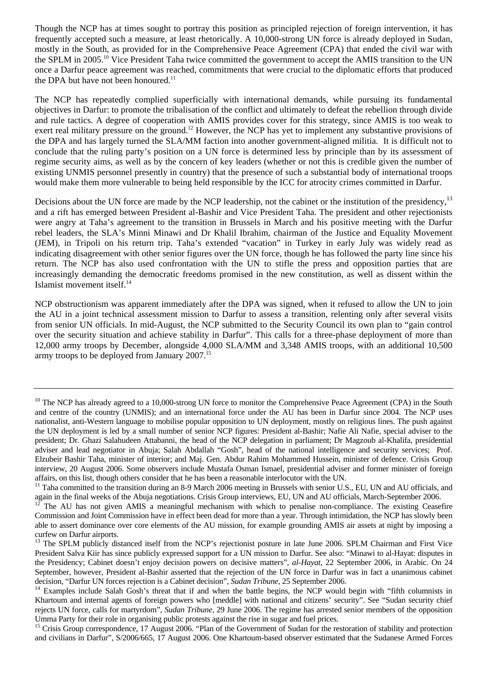Though the NCP has at times sought to portray this position as principled rejection of foreign intervention, it has frequently accepted such a measure, at least rhetorically. A 10,000-strong UN force is already deployed in Sudan, mostly in the South, as provided for in the Comprehensive Peace Agreement (CPA) that ended the civil war with the SPLM in 2005[.10](#page-3-0) Vice President Taha twice committed the government to accept the AMIS transition to the UN once a Darfur peace agreement was reached, commitments that were crucial to the diplomatic efforts that produced the DPA but have not been honoured.<sup>11</sup>

The NCP has repeatedly complied superficially with international demands, while pursuing its fundamental objectives in Darfur: to promote the tribalisation of the conflict and ultimately to defeat the rebellion through divide and rule tactics. A degree of cooperation with AMIS provides cover for this strategy, since AMIS is too weak to exert real military pressure on the ground.<sup>12</sup> However, the NCP has yet to implement any substantive provisions of the DPA and has largely turned the SLA/MM faction into another government-aligned militia. It is difficult not to conclude that the ruling party's position on a UN force is determined less by principle than by its assessment of regime security aims, as well as by the concern of key leaders (whether or not this is credible given the number of existing UNMIS personnel presently in country) that the presence of such a substantial body of international troops would make them more vulnerable to being held responsible by the ICC for atrocity crimes committed in Darfur.

Decisions about the UN force are made by the NCP leadership, not the cabinet or the institution of the presidency,<sup>13</sup> and a rift has emerged between President al-Bashir and Vice President Taha. The president and other rejectionists were angry at Taha's agreement to the transition in Brussels in March and his positive meeting with the Darfur rebel leaders, the SLA's Minni Minawi and Dr Khalil Ibrahim, chairman of the Justice and Equality Movement (JEM), in Tripoli on his return trip. Taha's extended "vacation" in Turkey in early July was widely read as indicating disagreement with other senior figures over the UN force, though he has followed the party line since his return. The NCP has also used confrontation with the UN to stifle the press and opposition parties that are increasingly demanding the democratic freedoms promised in the new constitution, as well as dissent within the Islamist movement itself.[14](#page-3-4)

NCP obstructionism was apparent immediately after the DPA was signed, when it refused to allow the UN to join the AU in a joint technical assessment mission to Darfur to assess a transition, relenting only after several visits from senior UN officials. In mid-August, the NCP submitted to the Security Council its own plan to "gain control over the security situation and achieve stability in Darfur". This calls for a three-phase deployment of more than 12,000 army troops by December, alongside 4,000 SLA/MM and 3,348 AMIS troops, with an additional 10,500 army troops to be deployed from January 2007.<sup>15</sup>

<span id="page-3-0"></span> $10$  The NCP has already agreed to a 10,000-strong UN force to monitor the Comprehensive Peace Agreement (CPA) in the South and centre of the country (UNMIS); and an international force under the AU has been in Darfur since 2004. The NCP uses nationalist, anti-Western language to mobilise popular opposition to UN deployment, mostly on religious lines. The push against the UN deployment is led by a small number of senior NCP figures: President al-Bashir; Nafie Ali Nafie, special adviser to the president; Dr. Ghazi Salahudeen Attabanni, the head of the NCP delegation in parliament; Dr Magzoub al-Khalifa, presidential adviser and lead negotiator in Abuja; Salah Abdallah "Gosh", head of the national intelligence and security services; Prof. Elzubeir Bashir Taha, minister of interior; and Maj. Gen. Abdur Rahim Mohammed Hussein, minister of defence. Crisis Group interview, 20 August 2006. Some observers include Mustafa Osman Ismael, presidential adviser and former minister of foreign

<span id="page-3-1"></span>affairs, on this list, though others consider that he has been a reasonable interlocutor with the UN.<br><sup>11</sup> Taha committed to the transition during an 8-9 March 2006 meeting in Brussels with senior U.S., EU, UN and AU offic again in the final weeks of the Abuja negotiations. Crisis Group interviews, EU, UN and AU officials, March-September 2006.

<span id="page-3-2"></span><sup>12</sup> The AU has not given AMIS a meaningful mechanism with which to penalise non-compliance. The existing Ceasefire Commission and Joint Commission have in effect been dead for more than a year. Through intimidation, the NCP has slowly been able to assert dominance over core elements of the AU mission, for example grounding AMIS air assets at night by imposing a curfew on Darfur airports.

<span id="page-3-3"></span><sup>13</sup> The SPLM publicly distanced itself from the NCP's rejectionist posture in late June 2006. SPLM Chairman and First Vice President Salva Kiir has since publicly expressed support for a UN mission to Darfur. See also: "Minawi to al-Hayat: disputes in the Presidency; Cabinet doesn't enjoy decision powers on decisive matters", *al-Hayat*, 22 September 2006, in Arabic. On 24 September, however, President al-Bashir asserted that the rejection of the UN force in Darfur was in fact a unanimous cabinet decision, "Darfur UN forces rejection is a Cabinet decision", *Sudan Tribune*, 25 September 2006.<br><sup>14</sup> Examples include Salah Gosh's threat that if and when the battle begins, the NCP would begin with "fifth columnists in

<span id="page-3-4"></span>Khartoum and internal agents of foreign powers who [meddle] with national and citizens' security". See "Sudan security chief rejects UN force, calls for martyrdom", *Sudan Tribune*, 29 June 2006. The regime has arrested senior members of the opposition Umma Party for their role in organising public protests against the rise in sugar and fuel prices.

<span id="page-3-5"></span><sup>&</sup>lt;sup>15</sup> Crisis Group correspondence, 17 August 2006. "Plan of the Government of Sudan for the restoration of stability and protection and civilians in Darfur", S/2006/665, 17 August 2006. One Khartoum-based observer estimated that the Sudanese Armed Forces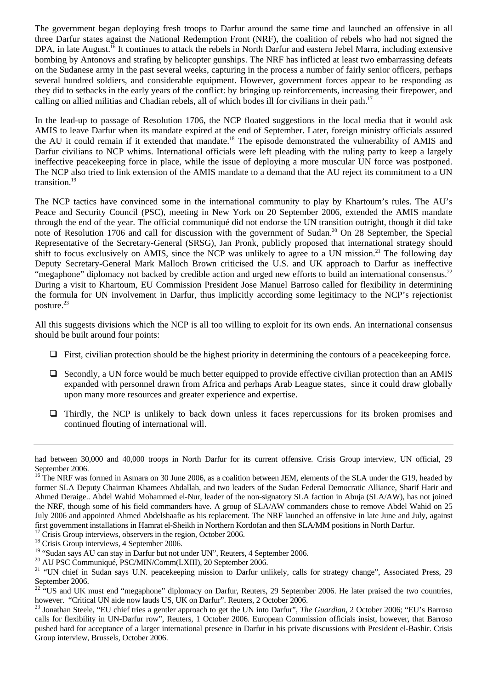The government began deploying fresh troops to Darfur around the same time and launched an offensive in all three Darfur states against the National Redemption Front (NRF), the coalition of rebels who had not signed the DPA, in late August.<sup>16</sup> It continues to attack the rebels in North Darfur and eastern Jebel Marra, including extensive bombing by Antonovs and strafing by helicopter gunships. The NRF has inflicted at least two embarrassing defeats on the Sudanese army in the past several weeks, capturing in the process a number of fairly senior officers, perhaps several hundred soldiers, and considerable equipment. However, government forces appear to be responding as they did to setbacks in the early years of the conflict: by bringing up reinforcements, increasing their firepower, and calling on allied militias and Chadian rebels, all of which bodes ill for civilians in their path.[17](#page-4-1) 

In the lead-up to passage of Resolution 1706, the NCP floated suggestions in the local media that it would ask AMIS to leave Darfur when its mandate expired at the end of September. Later, foreign ministry officials assured the AU it could remain if it extended that mandate.<sup>18</sup> The episode demonstrated the vulnerability of AMIS and Darfur civilians to NCP whims. International officials were left pleading with the ruling party to keep a largely ineffective peacekeeping force in place, while the issue of deploying a more muscular UN force was postponed. The NCP also tried to link extension of the AMIS mandate to a demand that the AU reject its commitment to a UN transition.<sup>19</sup>

The NCP tactics have convinced some in the international community to play by Khartoum's rules. The AU's Peace and Security Council (PSC), meeting in New York on 20 September 2006, extended the AMIS mandate through the end of the year. The official communiqué did not endorse the UN transition outright, though it did take note of Resolution 1706 and call for discussion with the government of Sudan.<sup>20</sup> On 28 September, the Special Representative of the Secretary-General (SRSG), Jan Pronk, publicly proposed that international strategy should shift to focus exclusively on AMIS, since the NCP was unlikely to agree to a UN mission.<sup>21</sup> The following day Deputy Secretary-General Mark Malloch Brown criticised the U.S. and UK approach to Darfur as ineffective "megaphone" diplomacy not backed by credible action and urged new efforts to build an international consensus. $^{22}$ During a visit to Khartoum, EU Commission President Jose Manuel Barroso called for flexibility in determining the formula for UN involvement in Darfur, thus implicitly according some legitimacy to the NCP's rejectionist posture.<sup>23</sup>

All this suggests divisions which the NCP is all too willing to exploit for its own ends. An international consensus should be built around four points:

- $\Box$  First, civilian protection should be the highest priority in determining the contours of a peacekeeping force.
- $\Box$  Secondly, a UN force would be much better equipped to provide effective civilian protection than an AMIS expanded with personnel drawn from Africa and perhaps Arab League states, since it could draw globally upon many more resources and greater experience and expertise.
- Thirdly, the NCP is unlikely to back down unless it faces repercussions for its broken promises and continued flouting of international will.

had between 30,000 and 40,000 troops in North Darfur for its current offensive. Crisis Group interview, UN official, 29 September 2006.

<span id="page-4-0"></span><sup>&</sup>lt;sup>16</sup> The NRF was formed in Asmara on 30 June 2006, as a coalition between JEM, elements of the SLA under the G19, headed by former SLA Deputy Chairman Khamees Abdallah, and two leaders of the Sudan Federal Democratic Alliance, Sharif Harir and Ahmed Deraige.. Abdel Wahid Mohammed el-Nur, leader of the non-signatory SLA faction in Abuja (SLA/AW), has not joined the NRF, though some of his field commanders have. A group of SLA/AW commanders chose to remove Abdel Wahid on 25 July 2006 and appointed Ahmed Abdelshaafie as his replacement. The NRF launched an offensive in late June and July, against first government installations in Hamrat el-Sheikh in Northern Kordofan and then SLA/MM positions in North Darfur. 17 Crisis Group interviews, observers in the region, October 2006.

<span id="page-4-1"></span>

<span id="page-4-2"></span><sup>&</sup>lt;sup>18</sup> Crisis Group interviews, 4 September 2006.

<span id="page-4-3"></span><sup>&</sup>lt;sup>19</sup> "Sudan says AU can stay in Darfur but not under UN", Reuters, 4 September 2006.

<span id="page-4-4"></span><sup>&</sup>lt;sup>20</sup> AU PSC Communiqué, PSC/MIN/Comm(LXIII), 20 September 2006.

<span id="page-4-5"></span><sup>&</sup>lt;sup>21</sup> "UN chief in Sudan says U.N. peacekeeping mission to Darfur unlikely, calls for strategy change", Associated Press, 29 September 2006.

<span id="page-4-6"></span><sup>&</sup>lt;sup>22</sup> "US and UK must end "megaphone" diplomacy on Darfur, Reuters, 29 September 2006. He later praised the two countries, however. "Critical UN aide now lauds US, UK on Darfur". Reuters, 2 October 2006.

<span id="page-4-7"></span><sup>23</sup> Jonathan Steele, "EU chief tries a gentler approach to get the UN into Darfur", *The Guardian*, 2 October 2006; "EU's Barroso calls for flexibility in UN-Darfur row", Reuters, 1 October 2006. European Commission officials insist, however, that Barroso pushed hard for acceptance of a larger international presence in Darfur in his private discussions with President el-Bashir. Crisis Group interview, Brussels, October 2006.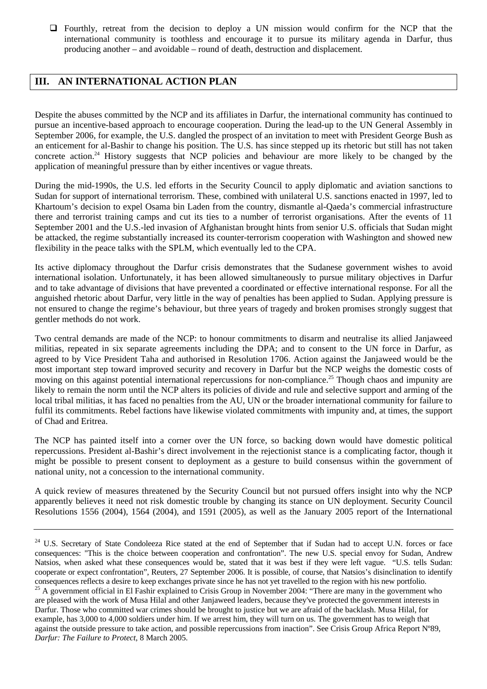Fourthly, retreat from the decision to deploy a UN mission would confirm for the NCP that the international community is toothless and encourage it to pursue its military agenda in Darfur, thus producing another – and avoidable – round of death, destruction and displacement.

# **III. AN INTERNATIONAL ACTION PLAN**

Despite the abuses committed by the NCP and its affiliates in Darfur, the international community has continued to pursue an incentive-based approach to encourage cooperation. During the lead-up to the UN General Assembly in September 2006, for example, the U.S. dangled the prospect of an invitation to meet with President George Bush as an enticement for al-Bashir to change his position. The U.S. has since stepped up its rhetoric but still has not taken concrete action.<sup>24</sup> History suggests that NCP policies and behaviour are more likely to be changed by the application of meaningful pressure than by either incentives or vague threats.

During the mid-1990s, the U.S. led efforts in the Security Council to apply diplomatic and aviation sanctions to Sudan for support of international terrorism. These, combined with unilateral U.S. sanctions enacted in 1997, led to Khartoum's decision to expel Osama bin Laden from the country, dismantle al-Qaeda's commercial infrastructure there and terrorist training camps and cut its ties to a number of terrorist organisations. After the events of 11 September 2001 and the U.S.-led invasion of Afghanistan brought hints from senior U.S. officials that Sudan might be attacked, the regime substantially increased its counter-terrorism cooperation with Washington and showed new flexibility in the peace talks with the SPLM, which eventually led to the CPA.

Its active diplomacy throughout the Darfur crisis demonstrates that the Sudanese government wishes to avoid international isolation. Unfortunately, it has been allowed simultaneously to pursue military objectives in Darfur and to take advantage of divisions that have prevented a coordinated or effective international response. For all the anguished rhetoric about Darfur, very little in the way of penalties has been applied to Sudan. Applying pressure is not ensured to change the regime's behaviour, but three years of tragedy and broken promises strongly suggest that gentler methods do not work.

Two central demands are made of the NCP: to honour commitments to disarm and neutralise its allied Janjaweed militias, repeated in six separate agreements including the DPA; and to consent to the UN force in Darfur, as agreed to by Vice President Taha and authorised in Resolution 1706. Action against the Janjaweed would be the most important step toward improved security and recovery in Darfur but the NCP weighs the domestic costs of moving on this against potential international repercussions for non-compliance.<sup>25</sup> Though chaos and impunity are likely to remain the norm until the NCP alters its policies of divide and rule and selective support and arming of the local tribal militias, it has faced no penalties from the AU, UN or the broader international community for failure to fulfil its commitments. Rebel factions have likewise violated commitments with impunity and, at times, the support of Chad and Eritrea.

The NCP has painted itself into a corner over the UN force, so backing down would have domestic political repercussions. President al-Bashir's direct involvement in the rejectionist stance is a complicating factor, though it might be possible to present consent to deployment as a gesture to build consensus within the government of national unity, not a concession to the international community.

A quick review of measures threatened by the Security Council but not pursued offers insight into why the NCP apparently believes it need not risk domestic trouble by changing its stance on UN deployment. Security Council Resolutions 1556 (2004), 1564 (2004), and 1591 (2005), as well as the January 2005 report of the International

<span id="page-5-0"></span><sup>&</sup>lt;sup>24</sup> U.S. Secretary of State Condoleeza Rice stated at the end of September that if Sudan had to accept U.N. forces or face consequences: "This is the choice between cooperation and confrontation". The new U.S. special envoy for Sudan, Andrew Natsios, when asked what these consequences would be, stated that it was best if they were left vague. "U.S. tells Sudan: cooperate or expect confrontation", Reuters, 27 September 2006. It is possible, of course, that Natsios's disinclination to identify consequences reflects a desire to keep exchanges private since he has not yet travelled to the region with his new portfolio.<br><sup>25</sup> A government official in El Fashir explained to Crisis Group in November 2004: "There are m are pleased with the work of Musa Hilal and other Janjaweed leaders, because they've protected the government interests in

<span id="page-5-1"></span>Darfur. Those who committed war crimes should be brought to justice but we are afraid of the backlash. Musa Hilal, for example, has 3,000 to 4,000 soldiers under him. If we arrest him, they will turn on us. The government has to weigh that against the outside pressure to take action, and possible repercussions from inaction". See Crisis Group Africa Report Nº89, *Darfur: The Failure to Protect*, 8 March 2005.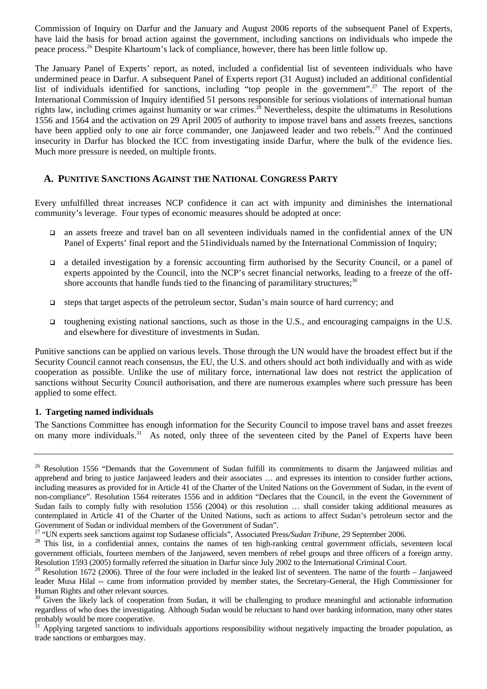Commission of Inquiry on Darfur and the January and August 2006 reports of the subsequent Panel of Experts, have laid the basis for broad action against the government, including sanctions on individuals who impede the peace process[.26](#page-6-0) Despite Khartoum's lack of compliance, however, there has been little follow up.

The January Panel of Experts' report, as noted, included a confidential list of seventeen individuals who have undermined peace in Darfur. A subsequent Panel of Experts report (31 August) included an additional confidential list of individuals identified for sanctions, including "top people in the government".<sup>27</sup> The report of the International Commission of Inquiry identified 51 persons responsible for serious violations of international human rights law, including crimes against humanity or war crimes.<sup>28</sup> Nevertheless, despite the ultimatums in Resolutions 1556 and 1564 and the activation on 29 April 2005 of authority to impose travel bans and assets freezes, sanctions have been applied only to one air force commander, one Janjaweed leader and two rebels.<sup>29</sup> And the continued insecurity in Darfur has blocked the ICC from investigating inside Darfur, where the bulk of the evidence lies. Much more pressure is needed, on multiple fronts.

#### **A. PUNITIVE SANCTIONS AGAINST THE NATIONAL CONGRESS PARTY**

Every unfulfilled threat increases NCP confidence it can act with impunity and diminishes the international community's leverage. Four types of economic measures should be adopted at once:

- an assets freeze and travel ban on all seventeen individuals named in the confidential annex of the UN Panel of Experts' final report and the 51individuals named by the International Commission of Inquiry;
- a detailed investigation by a forensic accounting firm authorised by the Security Council, or a panel of experts appointed by the Council, into the NCP's secret financial networks, leading to a freeze of the offshore accounts that handle funds tied to the financing of paramilitary structures; $30$
- $\Box$  steps that target aspects of the petroleum sector, Sudan's main source of hard currency; and
- toughening existing national sanctions, such as those in the U.S., and encouraging campaigns in the U.S. and elsewhere for divestiture of investments in Sudan.

Punitive sanctions can be applied on various levels. Those through the UN would have the broadest effect but if the Security Council cannot reach consensus, the EU, the U.S. and others should act both individually and with as wide cooperation as possible. Unlike the use of military force, international law does not restrict the application of sanctions without Security Council authorisation, and there are numerous examples where such pressure has been applied to some effect.

#### **1. Targeting named individuals**

The Sanctions Committee has enough information for the Security Council to impose travel bans and asset freezes on many more individuals.<sup>31</sup> As noted, only three of the seventeen cited by the Panel of Experts have been

<span id="page-6-0"></span><sup>&</sup>lt;sup>26</sup> Resolution 1556 "Demands that the Government of Sudan fulfill its commitments to disarm the Janjaweed militias and apprehend and bring to justice Janjaweed leaders and their associates … and expresses its intention to consider further actions, including measures as provided for in Article 41 of the Charter of the United Nations on the Government of Sudan, in the event of non-compliance". Resolution 1564 reiterates 1556 and in addition "Declares that the Council, in the event the Government of Sudan fails to comply fully with resolution 1556 (2004) or this resolution … shall consider taking additional measures as contemplated in Article 41 of the Charter of the United Nations, such as actions to affect Sudan's petroleum sector and the Government of Sudan or individual members of the Government of Sudan".<br><sup>27</sup> "UN experts seek sanctions against top Sudanese officials", Associated Press/Sudan Tribune, 29 September 2006.

<span id="page-6-1"></span>

<span id="page-6-2"></span><sup>&</sup>lt;sup>28</sup> This list, in a confidential annex, contains the names of ten high-ranking central government officials, seventeen local government officials, fourteen members of the Janjaweed, seven members of rebel groups and three officers of a foreign army. Resolution 1593 (2005) formally referred the situation in Darfur since July 2002 to the International Criminal Court.

<span id="page-6-3"></span> $29$  Resolution 1672 (2006). Three of the four were included in the leaked list of seventeen. The name of the fourth – Janjaweed leader Musa Hilal -- came from information provided by member states, the Secretary-General, the High Commissioner for Human Rights and other relevant sources.

<span id="page-6-4"></span><sup>&</sup>lt;sup>30</sup> Given the likely lack of cooperation from Sudan, it will be challenging to produce meaningful and actionable information regardless of who does the investigating. Although Sudan would be reluctant to hand over banking information, many other states probably would be more cooperative.

<span id="page-6-5"></span><sup>31</sup> Applying targeted sanctions to individuals apportions responsibility without negatively impacting the broader population, as trade sanctions or embargoes may.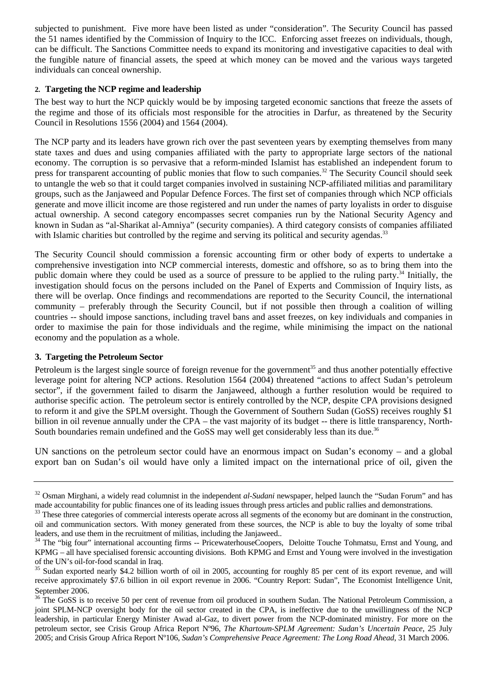subjected to punishment. Five more have been listed as under "consideration". The Security Council has passed the 51 names identified by the Commission of Inquiry to the ICC. Enforcing asset freezes on individuals, though, can be difficult. The Sanctions Committee needs to expand its monitoring and investigative capacities to deal with the fungible nature of financial assets, the speed at which money can be moved and the various ways targeted individuals can conceal ownership.

#### **2. Targeting the NCP regime and leadership**

The best way to hurt the NCP quickly would be by imposing targeted economic sanctions that freeze the assets of the regime and those of its officials most responsible for the atrocities in Darfur, as threatened by the Security Council in Resolutions 1556 (2004) and 1564 (2004).

The NCP party and its leaders have grown rich over the past seventeen years by exempting themselves from many state taxes and dues and using companies affiliated with the party to appropriate large sectors of the national economy. The corruption is so pervasive that a reform-minded Islamist has established an independent forum to press for transparent accounting of public monies that flow to such companies.<sup>32</sup> The Security Council should seek to untangle the web so that it could target companies involved in sustaining NCP-affiliated militias and paramilitary groups, such as the Janjaweed and Popular Defence Forces. The first set of companies through which NCP officials generate and move illicit income are those registered and run under the names of party loyalists in order to disguise actual ownership. A second category encompasses secret companies run by the National Security Agency and known in Sudan as "al-Sharikat al-Amniya" (security companies). A third category consists of companies affiliated with Islamic charities but controlled by the regime and serving its political and security agendas.<sup>33</sup>

The Security Council should commission a forensic accounting firm or other body of experts to undertake a comprehensive investigation into NCP commercial interests, domestic and offshore, so as to bring them into the public domain where they could be used as a source of pressure to be applied to the ruling party.<sup>34</sup> Initially, the investigation should focus on the persons included on the Panel of Experts and Commission of Inquiry lists, as there will be overlap. Once findings and recommendations are reported to the Security Council, the international community – preferably through the Security Council, but if not possible then through a coalition of willing countries -- should impose sanctions, including travel bans and asset freezes, on key individuals and companies in order to maximise the pain for those individuals and the regime, while minimising the impact on the national economy and the population as a whole.

#### **3. Targeting the Petroleum Sector**

Petroleum is the largest single source of foreign revenue for the government<sup>35</sup> and thus another potentially effective leverage point for altering NCP actions. Resolution 1564 (2004) threatened "actions to affect Sudan's petroleum sector", if the government failed to disarm the Janjaweed, although a further resolution would be required to authorise specific action. The petroleum sector is entirely controlled by the NCP, despite CPA provisions designed to reform it and give the SPLM oversight. Though the Government of Southern Sudan (GoSS) receives roughly \$1 billion in oil revenue annually under the CPA – the vast majority of its budget -- there is little transparency, North-South boundaries remain undefined and the GoSS may well get considerably less than its due.<sup>36</sup>

UN sanctions on the petroleum sector could have an enormous impact on Sudan's economy – and a global export ban on Sudan's oil would have only a limited impact on the international price of oil, given the

<span id="page-7-0"></span><sup>&</sup>lt;sup>32</sup> Osman Mirghani, a widely read columnist in the independent *al-Sudani* newspaper, helped launch the "Sudan Forum" and has made accountability for public finances one of its leading issues through press articles and public rallies and demonstrations.<br><sup>33</sup> These three categories of commercial interests operate across all segments of the economy

<span id="page-7-1"></span>oil and communication sectors. With money generated from these sources, the NCP is able to buy the loyalty of some tribal leaders, and use them in the recruitment of militias, including the Janjaweed.. <br><sup>34</sup> The "big four" international accounting firms -- PricewaterhouseCoopers, Deloitte Touche Tohmatsu, Ernst and Young, and

<span id="page-7-2"></span>KPMG – all have specialised forensic accounting divisions. Both KPMG and Ernst and Young were involved in the investigation of the UN's oil-for-food scandal in Iraq.

<span id="page-7-3"></span><sup>&</sup>lt;sup>35</sup> Sudan exported nearly \$4.2 billion worth of oil in 2005, accounting for roughly 85 per cent of its export revenue, and will receive approximately \$7.6 billion in oil export revenue in 2006. "Country Report: Sudan", The Economist Intelligence Unit,

<span id="page-7-4"></span>September 2006.<br><sup>36</sup> The GoSS is to receive 50 per cent of revenue from oil produced in southern Sudan. The National Petroleum Commission, a joint SPLM-NCP oversight body for the oil sector created in the CPA, is ineffective due to the unwillingness of the NCP leadership, in particular Energy Minister Awad al-Gaz, to divert power from the NCP-dominated ministry. For more on the petroleum sector, see Crisis Group Africa Report Nº96, *The Khartoum-SPLM Agreement: Sudan's Uncertain Peace*, 25 July 2005; and Crisis Group Africa Report Nº106, *Sudan's Comprehensive Peace Agreement: The Long Road Ahead*, 31 March 2006.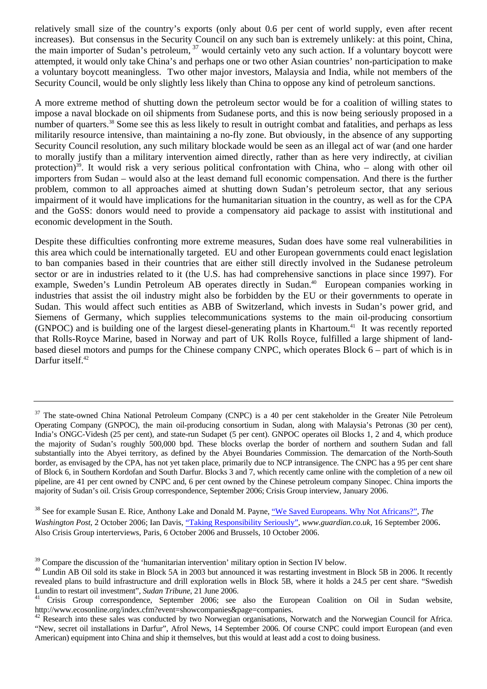relatively small size of the country's exports (only about 0.6 per cent of world supply, even after recent increases). But consensus in the Security Council on any such ban is extremely unlikely: at this point, China, the main importer of Sudan's petroleum, <sup>37</sup> would certainly veto any such action. If a voluntary boycott were attempted, it would only take China's and perhaps one or two other Asian countries' non-participation to make a voluntary boycott meaningless. Two other major investors, Malaysia and India, while not members of the Security Council, would be only slightly less likely than China to oppose any kind of petroleum sanctions.

A more extreme method of shutting down the petroleum sector would be for a coalition of willing states to impose a naval blockade on oil shipments from Sudanese ports, and this is now being seriously proposed in a number of quarters.<sup>38</sup> Some see this as less likely to result in outright combat and fatalities, and perhaps as less militarily resource intensive, than maintaining a no-fly zone. But obviously, in the absence of any supporting Security Council resolution, any such military blockade would be seen as an illegal act of war (and one harder to morally justify than a military intervention aimed directly, rather than as here very indirectly, at civilian protection)<sup>39</sup>. It would risk a very serious political confrontation with China, who – along with other oil importers from Sudan – would also at the least demand full economic compensation. And there is the further problem, common to all approaches aimed at shutting down Sudan's petroleum sector, that any serious impairment of it would have implications for the humanitarian situation in the country, as well as for the CPA and the GoSS: donors would need to provide a compensatory aid package to assist with institutional and economic development in the South.

Despite these difficulties confronting more extreme measures, Sudan does have some real vulnerabilities in this area which could be internationally targeted. EU and other European governments could enact legislation to ban companies based in their countries that are either still directly involved in the Sudanese petroleum sector or are in industries related to it (the U.S. has had comprehensive sanctions in place since 1997). For example, Sweden's Lundin Petroleum AB operates directly in Sudan.<sup>40</sup> European companies working in industries that assist the oil industry might also be forbidden by the EU or their governments to operate in Sudan. This would affect such entities as ABB of Switzerland, which invests in Sudan's power grid, and Siemens of Germany, which supplies telecommunications systems to the main oil-producing consortium (GNPOC) and is building one of the largest diesel-generating plants in Khartoum.<sup>41</sup> It was recently reported that Rolls-Royce Marine, based in Norway and part of UK Rolls Royce, fulfilled a large shipment of landbased diesel motors and pumps for the Chinese company CNPC, which operates Block 6 – part of which is in Darfur itself.<sup>42</sup>

<span id="page-8-1"></span>38 See for example Susan E. Rice, Anthony Lake and Donald M. Payne, ["We Saved Europeans. Why Not Africans?",](http://www.washingtonpost.com/wp-dyn/content/article/2006/10/01/AR2006100100871_pf.html) *The Washington Post*, 2 October 2006; Ian Davis, <u>"Taking Responsibility Seriously</u>", *www.guardian.co.uk*, 16 September 2006. Also Crisis Group interterviews, Paris, 6 October 2006 and Brussels, 10 October 2006.

<span id="page-8-0"></span><sup>&</sup>lt;sup>37</sup> The state-owned China National Petroleum Company (CNPC) is a 40 per cent stakeholder in the Greater Nile Petroleum Operating Company (GNPOC), the main oil-producing consortium in Sudan, along with Malaysia's Petronas (30 per cent), India's ONGC-Videsh (25 per cent), and state-run Sudapet (5 per cent). GNPOC operates oil Blocks 1, 2 and 4, which produce the majority of Sudan's roughly 500,000 bpd. These blocks overlap the border of northern and southern Sudan and fall substantially into the Abyei territory, as defined by the Abyei Boundaries Commission. The demarcation of the North-South border, as envisaged by the CPA, has not yet taken place, primarily due to NCP intransigence. The CNPC has a 95 per cent share of Block 6, in Southern Kordofan and South Darfur. Blocks 3 and 7, which recently came online with the completion of a new oil pipeline, are 41 per cent owned by CNPC and, 6 per cent owned by the Chinese petroleum company Sinopec. China imports the majority of Sudan's oil. Crisis Group correspondence, September 2006; Crisis Group interview, January 2006.

<span id="page-8-2"></span><sup>&</sup>lt;sup>39</sup> Compare the discussion of the 'humanitarian intervention' military option in Section IV below.

<span id="page-8-3"></span><sup>&</sup>lt;sup>40</sup> Lundin AB Oil sold its stake in Block 5A in 2003 but announced it was restarting investment in Block 5B in 2006. It recently revealed plans to build infrastructure and drill exploration wells in Block 5B, where it holds a 24.5 per cent share. "Swedish

<span id="page-8-4"></span>Lundin to restart oil investment", *Sudan Tribune*, 21 June 2006.<br><sup>41</sup> Crisis Group correspondence, September 2006; see also the European Coalition on Oil in Sudan website, http://www.ecosonline.org/index.cfm?event=showcompanies&page=companies.

<span id="page-8-5"></span> $42$  Research into these sales was conducted by two Norwegian organisations, Norwatch and the Norwegian Council for Africa. "New, secret oil installations in Darfur", Afrol News, 14 September 2006. Of course CNPC could import European (and even American) equipment into China and ship it themselves, but this would at least add a cost to doing business.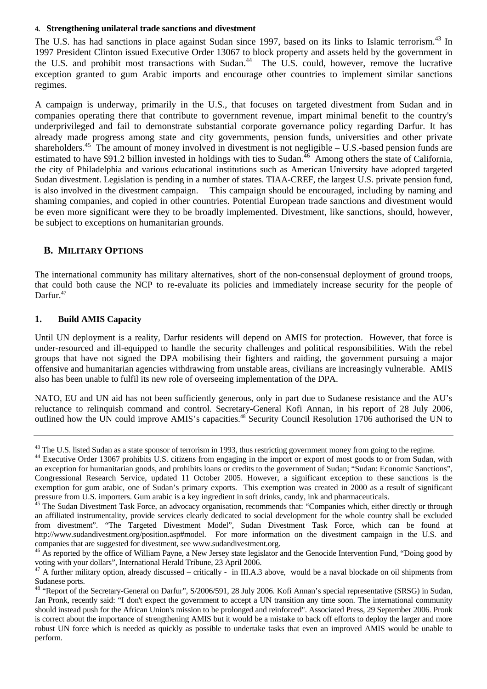#### **4. Strengthening unilateral trade sanctions and divestment**

The U.S. has had sanctions in place against Sudan since 1997, based on its links to Islamic terrorism.<sup>43</sup> In 1997 President Clinton issued Executive Order 13067 to block property and assets held by the government in the U.S. and prohibit most transactions with Sudan.<sup>44</sup> The U.S. could, however, remove the lucrative exception granted to gum Arabic imports and encourage other countries to implement similar sanctions regimes.

A campaign is underway, primarily in the U.S., that focuses on targeted divestment from Sudan and in companies operating there that contribute to government revenue, impart minimal benefit to the country's underprivileged and fail to demonstrate substantial corporate governance policy regarding Darfur. It has already made progress among state and city governments, pension funds, universities and other private shareholders.<sup>45</sup> The amount of money involved in divestment is not negligible – U.S.-based pension funds are estimated to have \$91.2 billion invested in holdings with ties to Sudan.<sup>46</sup> Among others the state of California, the city of Philadelphia and various educational institutions such as American University have adopted targeted Sudan divestment. Legislation is pending in a number of states. TIAA-CREF, the largest U.S. private pension fund, is also involved in the divestment campaign. This campaign should be encouraged, including by naming and shaming companies, and copied in other countries. Potential European trade sanctions and divestment would be even more significant were they to be broadly implemented. Divestment, like sanctions, should, however, be subject to exceptions on humanitarian grounds.

#### **B. MILITARY OPTIONS**

The international community has military alternatives, short of the non-consensual deployment of ground troops, that could both cause the NCP to re-evaluate its policies and immediately increase security for the people of Darfur.<sup>47</sup>

#### **1. Build AMIS Capacity**

Until UN deployment is a reality, Darfur residents will depend on AMIS for protection. However, that force is under-resourced and ill-equipped to handle the security challenges and political responsibilities. With the rebel groups that have not signed the DPA mobilising their fighters and raiding, the government pursuing a major offensive and humanitarian agencies withdrawing from unstable areas, civilians are increasingly vulnerable. AMIS also has been unable to fulfil its new role of overseeing implementation of the DPA.

NATO, EU and UN aid has not been sufficiently generous, only in part due to Sudanese resistance and the AU's reluctance to relinquish command and control. Secretary-General Kofi Annan, in his report of 28 July 2006, outlined how the UN could improve AMIS's capacities.<sup>48</sup> Security Council Resolution 1706 authorised the UN to

<span id="page-9-1"></span><span id="page-9-0"></span>

 $^{43}$  The U.S. listed Sudan as a state sponsor of terrorism in 1993, thus restricting government money from going to the regime.<br><sup>44</sup> Executive Order 13067 prohibits U.S. citizens from engaging in the import or export of an exception for humanitarian goods, and prohibits loans or credits to the government of Sudan; "Sudan: Economic Sanctions", Congressional Research Service, updated 11 October 2005. However, a significant exception to these sanctions is the exemption for gum arabic, one of Sudan's primary exports. This exemption was created in 2000 as a result of significant pressure from U.S. importers. Gum arabic is a key ingredient in soft drinks, candy, ink and pharmaceuticals.<br><sup>45</sup> The Sudan Divestment Task Force, an advocacy organisation, recommends that: "Companies which, either directl

<span id="page-9-2"></span>an affiliated instrumentality, provide services clearly dedicated to social development for the whole country shall be excluded from divestment". "The Targeted Divestment Model", Sudan Divestment Task Force, which can be found at http://www.sudandivestment.org/position.asp#model. For more information on the divestment campaign in the U.S. and companies that are suggested for divestment, see www.sudandivestment.org.

<span id="page-9-3"></span><sup>&</sup>lt;sup>46</sup> As reported by the office of William Payne, a New Jersey state legislator and the Genocide Intervention Fund, "Doing good by voting with your dollars", International Herald Tribune, 23 April 2006.

 $47$  A further military option, already discussed – critically - in III.A.3 above, would be a naval blockade on oil shipments from Sudanese ports.

<span id="page-9-4"></span><sup>&</sup>lt;sup>48</sup> "Report of the Secretary-General on Darfur", S/2006/591, 28 July 2006. Kofi Annan's special representative (SRSG) in Sudan, Jan Pronk, recently said: "I don't expect the government to accept a UN transition any time soon. The international community should instead push for the African Union's mission to be prolonged and reinforced". Associated Press, 29 September 2006. Pronk is correct about the importance of strengthening AMIS but it would be a mistake to back off efforts to deploy the larger and more robust UN force which is needed as quickly as possible to undertake tasks that even an improved AMIS would be unable to perform.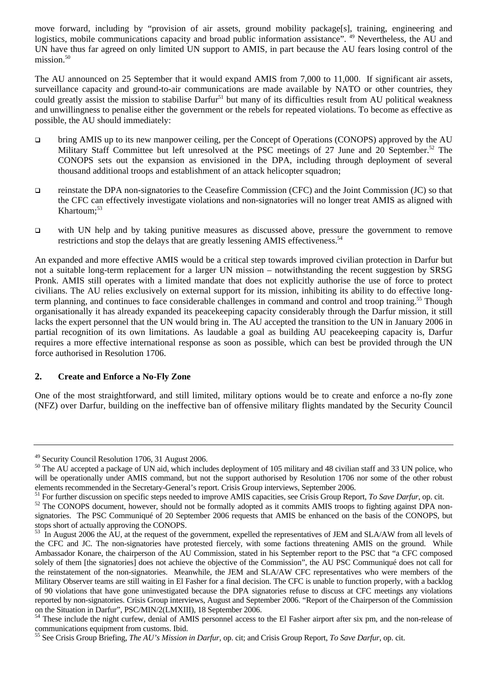move forward, including by "provision of air assets, ground mobility package[s], training, engineering and logistics, mobile communications capacity and broad public information assistance". <sup>49</sup> Nevertheless, the AU and UN have thus far agreed on only limited UN support to AMIS, in part because the AU fears losing control of the mission. $50$ 

The AU announced on 25 September that it would expand AMIS from 7,000 to 11,000. If significant air assets, surveillance capacity and ground-to-air communications are made available by NATO or other countries, they could greatly assist the mission to stabilise Darfur<sup>51</sup> but many of its difficulties result from AU political weakness and unwillingness to penalise either the government or the rebels for repeated violations. To become as effective as possible, the AU should immediately:

- bring AMIS up to its new manpower ceiling, per the Concept of Operations (CONOPS) approved by the AU Military Staff Committee but left unresolved at the PSC meetings of 27 June and 20 September.<sup>52</sup> The CONOPS sets out the expansion as envisioned in the DPA, including through deployment of several thousand additional troops and establishment of an attack helicopter squadron;
- reinstate the DPA non-signatories to the Ceasefire Commission (CFC) and the Joint Commission (JC) so that the CFC can effectively investigate violations and non-signatories will no longer treat AMIS as aligned with Khartoum;<sup>53</sup>
- with UN help and by taking punitive measures as discussed above, pressure the government to remove restrictions and stop the delays that are greatly lessening AMIS effectiveness.<sup>54</sup>

An expanded and more effective AMIS would be a critical step towards improved civilian protection in Darfur but not a suitable long-term replacement for a larger UN mission – notwithstanding the recent suggestion by SRSG Pronk. AMIS still operates with a limited mandate that does not explicitly authorise the use of force to protect civilians. The AU relies exclusively on external support for its mission, inhibiting its ability to do effective longterm planning, and continues to face considerable challenges in command and control and troop training.<sup>55</sup> Though organisationally it has already expanded its peacekeeping capacity considerably through the Darfur mission, it still lacks the expert personnel that the UN would bring in. The AU accepted the transition to the UN in January 2006 in partial recognition of its own limitations. As laudable a goal as building AU peacekeeping capacity is, Darfur requires a more effective international response as soon as possible, which can best be provided through the UN force authorised in Resolution 1706.

#### **2. Create and Enforce a No-Fly Zone**

One of the most straightforward, and still limited, military options would be to create and enforce a no-fly zone (NFZ) over Darfur, building on the ineffective ban of offensive military flights mandated by the Security Council

<span id="page-10-0"></span><sup>49</sup> Security Council Resolution 1706, 31 August 2006.

<span id="page-10-1"></span><sup>&</sup>lt;sup>50</sup> The AU accepted a package of UN aid, which includes deployment of 105 military and 48 civilian staff and 33 UN police, who will be operationally under AMIS command, but not the support authorised by Resolution 1706 nor some of the other robust elements recommended in the Secretary-General's report. Crisis Group interviews, September 2006.<br><sup>51</sup> For further discussion on specific steps needed to improve AMIS capacities, see Crisis Group Report, *To Save Darfur*, o

<span id="page-10-2"></span>

<span id="page-10-3"></span>signatories. The PSC Communiqué of 20 September 2006 requests that AMIS be enhanced on the basis of the CONOPS, but stops short of actually approving the CONOPS.

<span id="page-10-4"></span><sup>&</sup>lt;sup>53</sup> In August 2006 the AU, at the request of the government, expelled the representatives of JEM and SLA/AW from all levels of the CFC and JC. The non-signatories have protested fiercely, with some factions threatening AMIS on the ground. While Ambassador Konare, the chairperson of the AU Commission, stated in his September report to the PSC that "a CFC composed solely of them [the signatories] does not achieve the objective of the Commission", the AU PSC Communiqué does not call for the reinstatement of the non-signatories. Meanwhile, the JEM and SLA/AW CFC representatives who were members of the Military Observer teams are still waiting in El Fasher for a final decision. The CFC is unable to function properly, with a backlog of 90 violations that have gone uninvestigated because the DPA signatories refuse to discuss at CFC meetings any violations reported by non-signatories. Crisis Group interviews, August and September 2006. "Report of the Chairperson of the Commission on the Situation in Darfur", PSC/MIN/2(LMXIII), 18 September 2006.

<span id="page-10-5"></span><sup>&</sup>lt;sup>54</sup> These include the night curfew, denial of AMIS personnel access to the El Fasher airport after six pm, and the non-release of communications equipment from customs. Ibid.

<span id="page-10-6"></span><sup>55</sup> See Crisis Group Briefing, *The AU's Mission in Darfur,* op. cit; and Crisis Group Report, *To Save Darfur*, op. cit.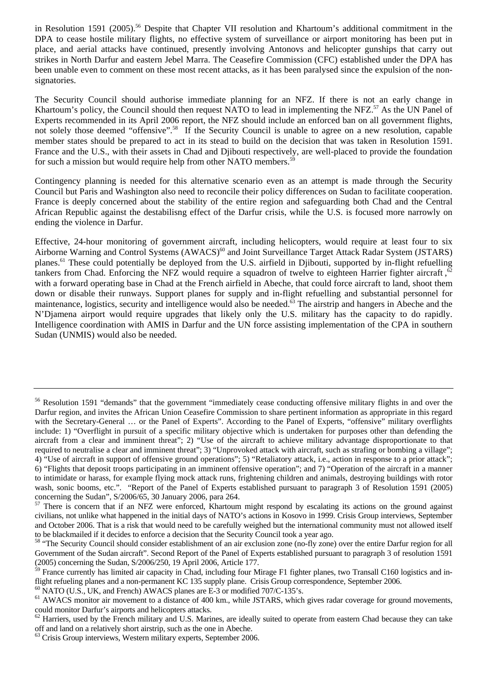in Resolution 1591 (2005).<sup>56</sup> Despite that Chapter VII resolution and Khartoum's additional commitment in the DPA to cease hostile military flights, no effective system of surveillance or airport monitoring has been put in place, and aerial attacks have continued, presently involving Antonovs and helicopter gunships that carry out strikes in North Darfur and eastern Jebel Marra. The Ceasefire Commission (CFC) established under the DPA has been unable even to comment on these most recent attacks, as it has been paralysed since the expulsion of the nonsignatories.

The Security Council should authorise immediate planning for an NFZ. If there is not an early change in Khartoum's policy, the Council should then request NATO to lead in implementing the NFZ.<sup>57</sup> As the UN Panel of Experts recommended in its April 2006 report, the NFZ should include an enforced ban on all government flights, not solely those deemed "offensive".<sup>58</sup> If the Security Council is unable to agree on a new resolution, capable member states should be prepared to act in its stead to build on the decision that was taken in Resolution 1591. France and the U.S., with their assets in Chad and Djibouti respectively, are well-placed to provide the foundation for such a mission but would require help from other NATO members.<sup>59</sup>

Contingency planning is needed for this alternative scenario even as an attempt is made through the Security Council but Paris and Washington also need to reconcile their policy differences on Sudan to facilitate cooperation. France is deeply concerned about the stability of the entire region and safeguarding both Chad and the Central African Republic against the destabilisng effect of the Darfur crisis, while the U.S. is focused more narrowly on ending the violence in Darfur.

Effective, 24-hour monitoring of government aircraft, including helicopters, would require at least four to six Airborne Warning and Control Systems (AWACS)<sup>60</sup> and Joint Surveillance Target Attack Radar System (JSTARS) planes.<sup>61</sup> These could potentially be deployed from the U.S. airfield in Djibouti, supported by in-flight refuelling tankers from Chad. Enforcing the NFZ would require a squadron of twelve to eighteen Harrier fighter aircraft, <sup>[62](#page-11-6)</sup> with a forward operating base in Chad at the French airfield in Abeche, that could force aircraft to land, shoot them down or disable their runways. Support planes for supply and in-flight refuelling and substantial personnel for maintenance, logistics, security and intelligence would also be needed.<sup>63</sup> The airstrip and hangers in Abeche and the N'Djamena airport would require upgrades that likely only the U.S. military has the capacity to do rapidly. Intelligence coordination with AMIS in Darfur and the UN force assisting implementation of the CPA in southern Sudan (UNMIS) would also be needed.

<span id="page-11-0"></span><sup>&</sup>lt;sup>56</sup> Resolution 1591 "demands" that the government "immediately cease conducting offensive military flights in and over the Darfur region, and invites the African Union Ceasefire Commission to share pertinent information as appropriate in this regard with the Secretary-General ... or the Panel of Experts". According to the Panel of Experts, "offensive" military overflights include: 1) "Overflight in pursuit of a specific military objective which is undertaken for purposes other than defending the aircraft from a clear and imminent threat"; 2) "Use of the aircraft to achieve military advantage disproportionate to that required to neutralise a clear and imminent threat"; 3) "Unprovoked attack with aircraft, such as strafing or bombing a village"; 4) "Use of aircraft in support of offensive ground operations"; 5) "Retaliatory attack, i.e., action in response to a prior attack"; 6) "Flights that deposit troops participating in an imminent offensive operation"; and 7) "Operation of the aircraft in a manner to intimidate or harass, for example flying mock attack runs, frightening children and animals, destroying buildings with rotor wash, sonic booms, etc.". "Report of the Panel of Experts established pursuant to paragraph 3 of Resolution 1591 (2005) concerning the Sudan", S/2006/65, 30 January 2006, para 264.

<span id="page-11-1"></span><sup>&</sup>lt;sup>57</sup> There is concern that if an NFZ were enforced, Khartoum might respond by escalating its actions on the ground against civilians, not unlike what happened in the initial days of NATO's actions in Kosovo in 1999. Crisis Group interviews, September and October 2006. That is a risk that would need to be carefully weighed but the international community must not allowed itself to be blackmailed if it decides to enforce a decision that the Security Council took a year ago.

<span id="page-11-2"></span><sup>&</sup>lt;sup>58</sup> "The Security Council should consider establishment of an air exclusion zone (no-fly zone) over the entire Darfur region for all Government of the Sudan aircraft". Second Report of the Panel of Experts established pursuant to paragraph 3 of resolution 1591 (2005) concerning the Sudan, S/2006/250, 19 April 2006, Article 177.

<span id="page-11-3"></span> $\frac{59}{2}$  France currently has limited air capacity in Chad, including four Mirage F1 fighter planes, two Transall C160 logistics and inflight refueling planes and a non-permanent KC 135 supply plane. Crisis Group correspondence, September 2006.

<span id="page-11-4"></span> $^{60}$  NATO (U.S., UK, and French) AWACS planes are E-3 or modified 707/C-135's.

<span id="page-11-5"></span><sup>&</sup>lt;sup>61</sup> AWACS monitor air movement to a distance of 400 km., while JSTARS, which gives radar coverage for ground movements, could monitor Darfur's airports and helicopters attacks.

<span id="page-11-6"></span> $62$  Harriers, used by the French military and U.S. Marines, are ideally suited to operate from eastern Chad because they can take off and land on a relatively short airstrip, such as the one in Abeche.

<span id="page-11-7"></span><sup>63</sup> Crisis Group interviews, Western military experts, September 2006.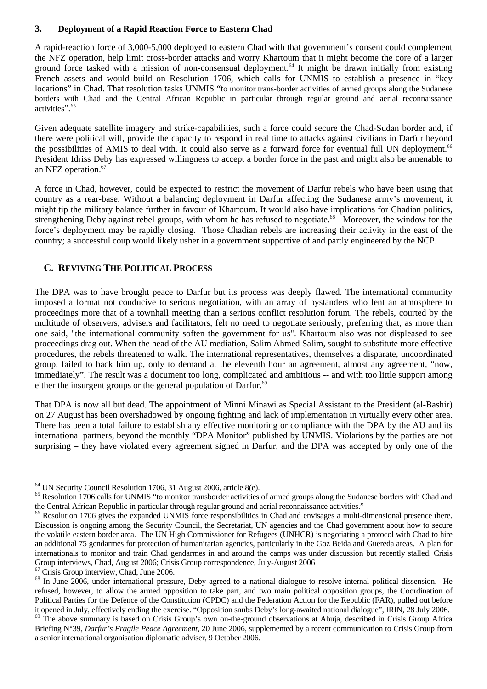#### **3. Deployment of a Rapid Reaction Force to Eastern Chad**

A rapid-reaction force of 3,000-5,000 deployed to eastern Chad with that government's consent could complement the NFZ operation, help limit cross-border attacks and worry Khartoum that it might become the core of a larger ground force tasked with a mission of non-consensual deployment.<sup>64</sup> It might be drawn initially from existing French assets and would build on Resolution 1706, which calls for UNMIS to establish a presence in "key locations" in Chad. That resolution tasks UNMIS "to monitor trans-border activities of armed groups along the Sudanese borders with Chad and the Central African Republic in particular through regular ground and aerial reconnaissance activities"[.65](#page-12-1) 

Given adequate satellite imagery and strike-capabilities, such a force could secure the Chad-Sudan border and, if there were political will, provide the capacity to respond in real time to attacks against civilians in Darfur beyond the possibilities of AMIS to deal with. It could also serve as a forward force for eventual full UN deployment.<sup>66</sup> President Idriss Deby has expressed willingness to accept a border force in the past and might also be amenable to an NFZ operation.<sup>67</sup>

A force in Chad, however, could be expected to restrict the movement of Darfur rebels who have been using that country as a rear-base. Without a balancing deployment in Darfur affecting the Sudanese army's movement, it might tip the military balance further in favour of Khartoum. It would also have implications for Chadian politics, strengthening Deby against rebel groups, with whom he has refused to negotiate.<sup>68</sup> Moreover, the window for the force's deployment may be rapidly closing. Those Chadian rebels are increasing their activity in the east of the country; a successful coup would likely usher in a government supportive of and partly engineered by the NCP.

# **C. REVIVING THE POLITICAL PROCESS**

The DPA was to have brought peace to Darfur but its process was deeply flawed. The international community imposed a format not conducive to serious negotiation, with an array of bystanders who lent an atmosphere to proceedings more that of a townhall meeting than a serious conflict resolution forum. The rebels, courted by the multitude of observers, advisers and facilitators, felt no need to negotiate seriously, preferring that, as more than one said, "the international community soften the government for us". Khartoum also was not displeased to see proceedings drag out. When the head of the AU mediation, Salim Ahmed Salim, sought to substitute more effective procedures, the rebels threatened to walk. The international representatives, themselves a disparate, uncoordinated group, failed to back him up, only to demand at the eleventh hour an agreement, almost any agreement, "now, immediately". The result was a document too long, complicated and ambitious -- and with too little support among either the insurgent groups or the general population of Darfur.<sup>69</sup>

That DPA is now all but dead. The appointment of Minni Minawi as Special Assistant to the President (al-Bashir) on 27 August has been overshadowed by ongoing fighting and lack of implementation in virtually every other area. There has been a total failure to establish any effective monitoring or compliance with the DPA by the AU and its international partners, beyond the monthly "DPA Monitor" published by UNMIS. Violations by the parties are not surprising – they have violated every agreement signed in Darfur, and the DPA was accepted by only one of the

<span id="page-12-3"></span>67 Crisis Group interview, Chad, June 2006.

<span id="page-12-0"></span><sup>64</sup> UN Security Council Resolution 1706, 31 August 2006, article 8(e).

<span id="page-12-1"></span><sup>&</sup>lt;sup>65</sup> Resolution 1706 calls for UNMIS "to monitor transborder activities of armed groups along the Sudanese borders with Chad and

<span id="page-12-2"></span>the Central African Republic in particular through regular ground and aerial reconnaissance activities."<br><sup>66</sup> Resolution 1706 gives the expanded UNMIS force responsibilities in Chad and envisages a multi-dimensional presen Discussion is ongoing among the Security Council, the Secretariat, UN agencies and the Chad government about how to secure the volatile eastern border area. The UN High Commissioner for Refugees (UNHCR) is negotiating a protocol with Chad to hire an additional 75 gendarmes for protection of humanitarian agencies, particularly in the Goz Beida and Guereda areas. A plan for internationals to monitor and train Chad gendarmes in and around the camps was under discussion but recently stalled. Crisis Group interviews, Chad, August 2006; Crisis Group correspondence, July-August 2006

<span id="page-12-4"></span><sup>&</sup>lt;sup>68</sup> In June 2006, under international pressure, Deby agreed to a national dialogue to resolve internal political dissension. He refused, however, to allow the armed opposition to take part, and two main political opposition groups, the Coordination of Political Parties for the Defence of the Constitution (CPDC) and the Federation Action for the Republic (FAR), pulled out before it opened in July, effectively ending the exercise. "Opposition snubs Deby's long-awaited national dialogue", IRIN, 28 July 2006.<br><sup>69</sup> The above summary is based on Crisis Group's own on-the-ground observations at Abuja, d

<span id="page-12-5"></span>Briefing N°39, *Darfur's Fragile Peace Agreement*, 20 June 2006, supplemented by a recent communication to Crisis Group from a senior international organisation diplomatic adviser, 9 October 2006.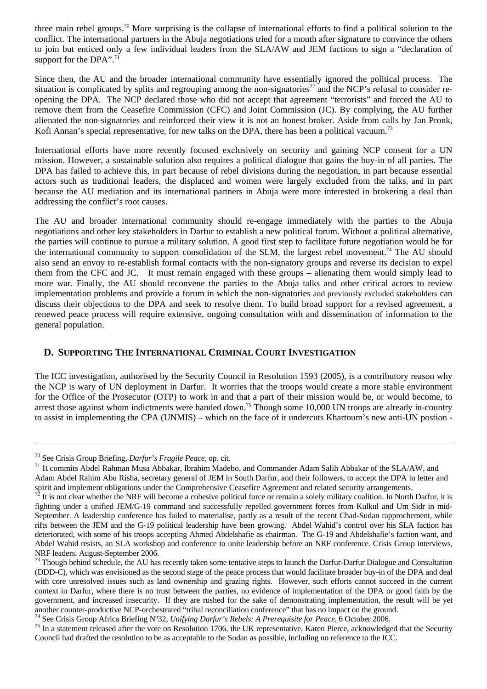three main rebel groups[.70](#page-13-0) More surprising is the collapse of international efforts to find a political solution to the conflict. The international partners in the Abuja negotiations tried for a month after signature to convince the others to join but enticed only a few individual leaders from the SLA/AW and JEM factions to sign a "declaration of support for the DPA".<sup>71</sup>

Since then, the AU and the broader international community have essentially ignored the political process. The situation is complicated by splits and regrouping among the non-signatories<sup>72</sup> and the NCP's refusal to consider reopening the DPA. The NCP declared those who did not accept that agreement "terrorists" and forced the AU to remove them from the Ceasefire Commission (CFC) and Joint Commission (JC). By complying, the AU further alienated the non-signatories and reinforced their view it is not an honest broker. Aside from calls by Jan Pronk, Kofi Annan's special representative, for new talks on the DPA, there has been a political vacuum.<sup>73</sup>

International efforts have more recently focused exclusively on security and gaining NCP consent for a UN mission. However, a sustainable solution also requires a political dialogue that gains the buy-in of all parties. The DPA has failed to achieve this, in part because of rebel divisions during the negotiation, in part because essential actors such as traditional leaders, the displaced and women were largely excluded from the talks*,* and in part because the AU mediation and its international partners in Abuja were more interested in brokering a deal than addressing the conflict's root causes.

The AU and broader international community should re-engage immediately with the parties to the Abuja negotiations and other key stakeholders in Darfur to establish a new political forum. Without a political alternative, the parties will continue to pursue a military solution. A good first step to facilitate future negotiation would be for the international community to support consolidation of the SLM, the largest rebel movement.<sup>74</sup> The AU should also send an envoy to re-establish formal contacts with the non-signatory groups and reverse its decision to expel them from the CFC and JC. It must remain engaged with these groups – alienating them would simply lead to more war. Finally, the AU should reconvene the parties to the Abuja talks and other critical actors to review implementation problems and provide a forum in which the non-signatories and previously excluded stakeholders can discuss their objections to the DPA and seek to resolve them. To build broad support for a revised agreement, a renewed peace process will require extensive, ongoing consultation with and dissemination of information to the general population.

# **D. SUPPORTING THE INTERNATIONAL CRIMINAL COURT INVESTIGATION**

The ICC investigation, authorised by the Security Council in Resolution 1593 (2005), is a contributory reason why the NCP is wary of UN deployment in Darfur. It worries that the troops would create a more stable environment for the Office of the Prosecutor (OTP) to work in and that a part of their mission would be, or would become, to arrest those against whom indictments were handed down.<sup>75</sup> Though some 10,000 UN troops are already in-country to assist in implementing the CPA (UNMIS) – which on the face of it undercuts Khartoum's new anti-UN postion -

<span id="page-13-4"></span>

<span id="page-13-1"></span><span id="page-13-0"></span>

<sup>&</sup>lt;sup>70</sup> See Crisis Group Briefing, *Darfur's Fragile Peace*, op. cit.<br><sup>71</sup> It commits Abdel Rahman Musa Abbakar, Ibrahim Madebo, and Commander Adam Salih Abbakar of the SLA/AW, and Adam Abdel Rahim Abu Risha, secretary general of JEM in South Darfur, and their followers, to accept the DPA in letter and spirit and implement obligations under the Comprehensive Ceasefire Agreement and related security arrangements.<br><sup>72</sup> It is not clear whether the NRF will become a cohesive political force or remain a solely military coali

<span id="page-13-2"></span>fighting under a unified JEM/G-19 command and successfully repelled government forces from Kulkul and Um Sidr in mid-September. A leadership conference has failed to materialise, partly as a result of the recent Chad-Sudan rapprochement, while rifts between the JEM and the G-19 political leadership have been growing. Abdel Wahid's control over his SLA faction has deteriorated, with some of his troops accepting Ahmed Abdelshafie as chairman. The G-19 and Abdelshafie's faction want, and Abdel Wahid resists, an SLA workshop and conference to unite leadership before an NRF conference. Crisis Group interviews, NRF leaders. August-September 2006.

<span id="page-13-3"></span><sup>&</sup>lt;sup>73</sup> Though behind schedule, the AU has recently taken some tentative steps to launch the Darfur-Darfur Dialogue and Consultation (DDD-C), which was envisioned as the second stage of the peace process that would facilitate broader buy-in of the DPA and deal with core unresolved issues such as land ownership and grazing rights. However, such efforts cannot succeed in the current context in Darfur, where there is no trust between the parties, no evidence of implementation of the DPA or good faith by the government, and increased insecurity. If they are rushed for the sake of demonstrating implementation, the result will be yet another counter-productive NCP-orchestrated "tribal reconciliation conference" that has no impact on the ground.<br><sup>74</sup> See Crisis Group Africa Briefing N°32, *Unifying Darfur's Rebels: A Prerequisite for Peace*, 6 October

<span id="page-13-5"></span>Council had drafted the resolution to be as acceptable to the Sudan as possible, including no reference to the ICC.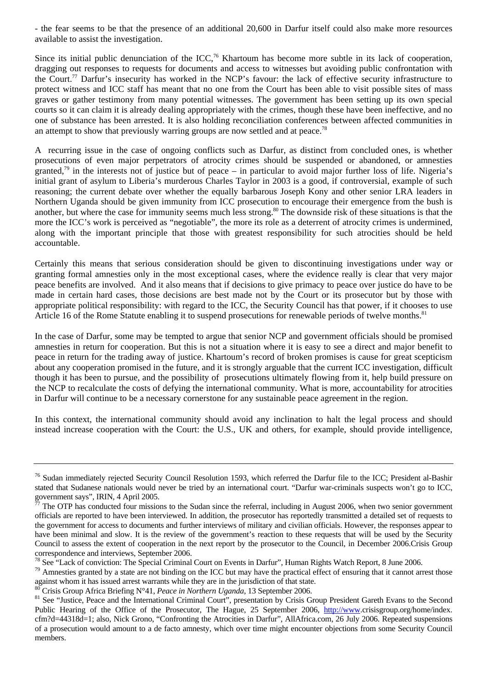- the fear seems to be that the presence of an additional 20,600 in Darfur itself could also make more resources available to assist the investigation.

Since its initial public denunciation of the ICC,<sup>76</sup> Khartoum has become more subtle in its lack of cooperation, dragging out responses to requests for documents and access to witnesses but avoiding public confrontation with the Court[.77](#page-14-1) Darfur's insecurity has worked in the NCP's favour: the lack of effective security infrastructure to protect witness and ICC staff has meant that no one from the Court has been able to visit possible sites of mass graves or gather testimony from many potential witnesses. The government has been setting up its own special courts so it can claim it is already dealing appropriately with the crimes, though these have been ineffective, and no one of substance has been arrested. It is also holding reconciliation conferences between affected communities in an attempt to show that previously warring groups are now settled and at peace.<sup>78</sup>

A recurring issue in the case of ongoing conflicts such as Darfur, as distinct from concluded ones, is whether prosecutions of even major perpetrators of atrocity crimes should be suspended or abandoned, or amnesties granted,<sup>79</sup> in the interests not of justice but of peace – in particular to avoid major further loss of life. Nigeria's initial grant of asylum to Liberia's murderous Charles Taylor in 2003 is a good, if controversial, example of such reasoning; the current debate over whether the equally barbarous Joseph Kony and other senior LRA leaders in Northern Uganda should be given immunity from ICC prosecution to encourage their emergence from the bush is another, but where the case for immunity seems much less strong.<sup>80</sup> The downside risk of these situations is that the more the ICC's work is perceived as "negotiable", the more its role as a deterrent of atrocity crimes is undermined, along with the important principle that those with greatest responsibility for such atrocities should be held accountable.

Certainly this means that serious consideration should be given to discontinuing investigations under way or granting formal amnesties only in the most exceptional cases, where the evidence really is clear that very major peace benefits are involved. And it also means that if decisions to give primacy to peace over justice do have to be made in certain hard cases, those decisions are best made not by the Court or its prosecutor but by those with appropriate political responsibility: with regard to the ICC, the Security Council has that power, if it chooses to use Article 16 of the Rome Statute enabling it to suspend prosecutions for renewable periods of twelve months.<sup>81</sup>

In the case of Darfur, some may be tempted to argue that senior NCP and government officials should be promised amnesties in return for cooperation. But this is not a situation where it is easy to see a direct and major benefit to peace in return for the trading away of justice. Khartoum's record of broken promises is cause for great scepticism about any cooperation promised in the future, and it is strongly arguable that the current ICC investigation, difficult though it has been to pursue, and the possibility of prosecutions ultimately flowing from it, help build pressure on the NCP to recalculate the costs of defying the international community. What is more, accountability for atrocities in Darfur will continue to be a necessary cornerstone for any sustainable peace agreement in the region.

In this context, the international community should avoid any inclination to halt the legal process and should instead increase cooperation with the Court: the U.S., UK and others, for example, should provide intelligence,

<span id="page-14-0"></span><sup>&</sup>lt;sup>76</sup> Sudan immediately rejected Security Council Resolution 1593, which referred the Darfur file to the ICC; President al-Bashir stated that Sudanese nationals would never be tried by an international court. "Darfur war-criminals suspects won't go to ICC, government says", IRIN, 4 April 2005.

<span id="page-14-1"></span> $77$  The OTP has conducted four missions to the Sudan since the referral, including in August 2006, when two senior government officials are reported to have been interviewed. In addition, the prosecutor has reportedly transmitted a detailed set of requests to the government for access to documents and further interviews of military and civilian officials. However, the responses appear to have been minimal and slow. It is the review of the government's reaction to these requests that will be used by the Security Council to assess the extent of cooperation in the next report by the prosecutor to the Council, in December 2006.Crisis Group correspondence and interviews, September 2006.

<span id="page-14-3"></span><span id="page-14-2"></span>

<sup>&</sup>lt;sup>78</sup> See "Lack of conviction: The Special Criminal Court on Events in Darfur", Human Rights Watch Report, 8 June 2006.<br><sup>79</sup> Amnesties granted by a state are not binding on the ICC but may have the practical effect of ensu against whom it has issued arrest warrants while they are in the jurisdiction of that state.  $^{80}$  Crisis Group Africa Briefing N°41, Peace in Northern Uganda, 13 September 2006.

<span id="page-14-4"></span>

<span id="page-14-5"></span><sup>&</sup>lt;sup>81</sup> See "Justice, Peace and the International Criminal Court", presentation by Crisis Group President Gareth Evans to the Second Public Hearing of the Office of the Prosecutor, The Hague, 25 September 2006, [http://www](http://www/).crisisgroup.org/home/index. cfm?d=44318d=1; also, Nick Grono, "Confronting the Atrocities in Darfur", AllAfrica.com, 26 July 2006. Repeated suspensions of a prosecution would amount to a de facto amnesty, which over time might encounter objections from some Security Council members.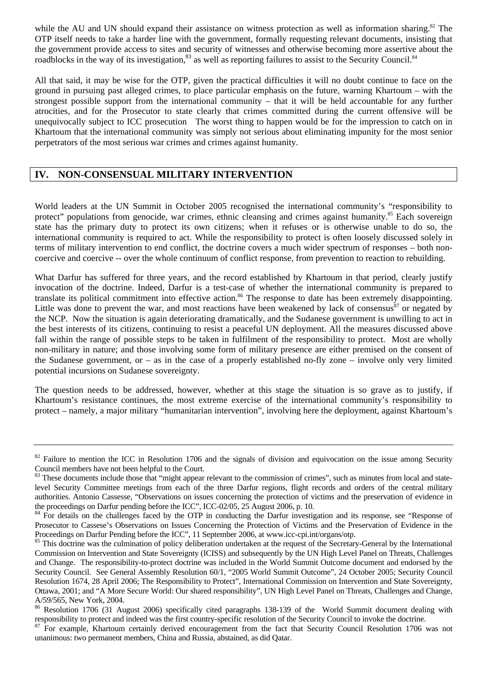while the AU and UN should expand their assistance on witness protection as well as information sharing.<sup>82</sup> The OTP itself needs to take a harder line with the government, formally requesting relevant documents, insisting that the government provide access to sites and security of witnesses and otherwise becoming more assertive about the roadblocks in the way of its investigation,<sup>83</sup> as well as reporting failures to assist to the Security Council.<sup>[84](#page-15-2)</sup>

All that said, it may be wise for the OTP, given the practical difficulties it will no doubt continue to face on the ground in pursuing past alleged crimes, to place particular emphasis on the future, warning Khartoum – with the strongest possible support from the international community – that it will be held accountable for any further atrocities, and for the Prosecutor to state clearly that crimes committed during the current offensive will be unequivocally subject to ICC prosecution The worst thing to happen would be for the impression to catch on in Khartoum that the international community was simply not serious about eliminating impunity for the most senior perpetrators of the most serious war crimes and crimes against humanity.

# **IV. NON-CONSENSUAL MILITARY INTERVENTION**

World leaders at the UN Summit in October 2005 recognised the international community's "responsibility to protect" populations from genocide, war crimes, ethnic cleansing and crimes against humanity.<sup>85</sup> Each sovereign state has the primary duty to protect its own citizens; when it refuses or is otherwise unable to do so, the international community is required to act. While the responsibility to protect is often loosely discussed solely in terms of military intervention to end conflict, the doctrine covers a much wider spectrum of responses – both noncoercive and coercive -- over the whole continuum of conflict response, from prevention to reaction to rebuilding.

What Darfur has suffered for three years, and the record established by Khartoum in that period, clearly justify invocation of the doctrine. Indeed, Darfur is a test-case of whether the international community is prepared to translate its political commitment into effective action.<sup>86</sup> The response to date has been extremely disappointing. Little was done to prevent the war, and most reactions have been weakened by lack of consensus $\frac{87}{7}$  or negated by the NCP. Now the situation is again deteriorating dramatically, and the Sudanese government is unwilling to act in the best interests of its citizens, continuing to resist a peaceful UN deployment. All the measures discussed above fall within the range of possible steps to be taken in fulfilment of the responsibility to protect. Most are wholly non-military in nature; and those involving some form of military presence are either premised on the consent of the Sudanese government, or – as in the case of a properly established no-fly zone – involve only very limited potential incursions on Sudanese sovereignty.

The question needs to be addressed, however, whether at this stage the situation is so grave as to justify, if Khartoum's resistance continues, the most extreme exercise of the international community's responsibility to protect – namely, a major military "humanitarian intervention", involving here the deployment, against Khartoum's

<span id="page-15-0"></span><sup>&</sup>lt;sup>82</sup> Failure to mention the ICC in Resolution 1706 and the signals of division and equivocation on the issue among Security Council members have not been helpful to the Court.

<span id="page-15-1"></span><sup>&</sup>lt;sup>83</sup> These documents include those that "might appear relevant to the commission of crimes", such as minutes from local and statelevel Security Committee meetings from each of the three Darfur regions, flight records and orders of the central military authorities. Antonio Cassesse, "Observations on issues concerning the protection of victims and the preservation of evidence in the proceedings on Darfur pending before the ICC", ICC-02/05, 25 August 2006, p. 10.<br><sup>84</sup> For details on the challenges faced by the OTP in conducting the Darfur investigation and its response, see "Response of

<span id="page-15-2"></span>Prosecutor to Cassese's Observations on Issues Concerning the Protection of Victims and the Preservation of Evidence in the Proceedings on Darfur Pending before the ICC", 11 September 2006, at www.icc-cpi.int/organs/otp.<br><sup>85</sup> This doctrine was the culmination of policy deliberation undertaken at the request of the Secretary-General by the Inter

<span id="page-15-3"></span>Commission on Intervention and State Sovereignty (ICISS) and subsequently by the UN High Level Panel on Threats, Challenges and Change. The responsibility-to-protect doctrine was included in the World Summit Outcome document and endorsed by the Security Council. See General Assembly Resolution 60/1, "2005 World Summit Outcome", 24 October 2005; Security Council Resolution 1674, 28 April 2006; The Responsibility to Protect", International Commission on Intervention and State Sovereignty, Ottawa, 2001; and "A More Secure World: Our shared responsibility", UN High Level Panel on Threats, Challenges and Change, A/59/565, New York, 2004.

<span id="page-15-4"></span><sup>86</sup> Resolution 1706 (31 August 2006) specifically cited paragraphs 138-139 of the World Summit document dealing with

<span id="page-15-5"></span>responsibility to protect and indeed was the first country-specific resolution of the Security Council to invoke the doctrine.<br><sup>87</sup> For example, Khartoum certainly derived encouragement from the fact that Security Council unanimous: two permanent members, China and Russia, abstained, as did Qatar.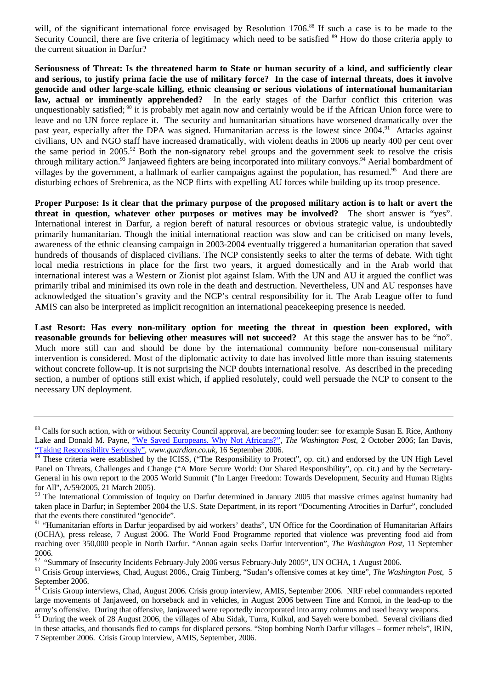will, of the significant international force envisaged by Resolution 1706.<sup>88</sup> If such a case is to be made to the Security Council, there are five criteria of legitimacy which need to be satisfied <sup>89</sup> How do those criteria apply to the current situation in Darfur?

**Seriousness of Threat: Is the threatened harm to State or human security of a kind, and sufficiently clear and serious, to justify prima facie the use of military force? In the case of internal threats, does it involve genocide and other large-scale killing, ethnic cleansing or serious violations of international humanitarian law, actual or imminently apprehended?** In the early stages of the Darfur conflict this criterion was unquestionably satisfied; [90](#page-16-2) it is probably met again now and certainly would be if the African Union force were to leave and no UN force replace it. The security and humanitarian situations have worsened dramatically over the past year, especially after the DPA was signed. Humanitarian access is the lowest since 2004.<sup>91</sup> Attacks against civilians, UN and NGO staff have increased dramatically, with violent deaths in 2006 up nearly 400 per cent over the same period in 2005.<sup>92</sup> Both the non-signatory rebel groups and the government seek to resolve the crisis through military action.<sup>93</sup> Janjaweed fighters are being incorporated into military convoys.<sup>94</sup> Aerial bombardment of villages by the government, a hallmark of earlier campaigns against the population, has resumed.<sup>95</sup> And there are disturbing echoes of Srebrenica, as the NCP flirts with expelling AU forces while building up its troop presence.

**Proper Purpose: Is it clear that the primary purpose of the proposed military action is to halt or avert the threat in question, whatever other purposes or motives may be involved?** The short answer is "yes". International interest in Darfur, a region bereft of natural resources or obvious strategic value, is undoubtedly primarily humanitarian. Though the initial international reaction was slow and can be criticised on many levels, awareness of the ethnic cleansing campaign in 2003-2004 eventually triggered a humanitarian operation that saved hundreds of thousands of displaced civilians. The NCP consistently seeks to alter the terms of debate. With tight local media restrictions in place for the first two years, it argued domestically and in the Arab world that international interest was a Western or Zionist plot against Islam. With the UN and AU it argued the conflict was primarily tribal and minimised its own role in the death and destruction. Nevertheless, UN and AU responses have acknowledged the situation's gravity and the NCP's central responsibility for it. The Arab League offer to fund AMIS can also be interpreted as implicit recognition an international peacekeeping presence is needed.

**Last Resort: Has every non-military option for meeting the threat in question been explored, with reasonable grounds for believing other measures will not succeed?** At this stage the answer has to be "no". Much more still can and should be done by the international community before non-consensual military intervention is considered. Most of the diplomatic activity to date has involved little more than issuing statements without concrete follow-up. It is not surprising the NCP doubts international resolve. As described in the preceding section, a number of options still exist which, if applied resolutely, could well persuade the NCP to consent to the necessary UN deployment.

<span id="page-16-0"></span><sup>&</sup>lt;sup>88</sup> Calls for such action, with or without Security Council approval, are becoming louder: see for example Susan E. Rice, Anthony Lake and Donald M. Payne, ["We Saved Europeans. Why Not Africans?"](http://www.washingtonpost.com/wp-dyn/content/article/2006/10/01/AR2006100100871_pf.html), *The Washington Post*, 2 October 2006; Ian Davis, ["Taking Responsibility Seriously",](http://commentisfree.guardian.co.uk/ian_davis/2006/09/avoiding_disaster_in_darfur.html) *www.guardian.co.uk,* 16 September 2006.

<span id="page-16-1"></span><sup>&</sup>lt;sup>89</sup> These criteria were established by the ICISS, ("The Responsibility to Protect", op. cit.) and endorsed by the UN High Level Panel on Threats, Challenges and Change ("A More Secure World: Our Shared Responsibility", op. cit.) and by the Secretary-General in his own report to the 2005 World Summit ("In Larger Freedom: Towards Development, Security and Human Rights for All", A/59/2005, 21 March 2005).

<span id="page-16-2"></span> $90$  The International Commission of Inquiry on Darfur determined in January 2005 that massive crimes against humanity had taken place in Darfur; in September 2004 the U.S. State Department, in its report "Documenting Atrocities in Darfur", concluded that the events there constituted "genocide".

<span id="page-16-3"></span><sup>&</sup>lt;sup>91</sup> "Humanitarian efforts in Darfur jeopardised by aid workers' deaths", UN Office for the Coordination of Humanitarian Affairs (OCHA), press release, 7 August 2006. The World Food Programme reported that violence was preventing food aid from reaching over 350,000 people in North Darfur. "Annan again seeks Darfur intervention", *The Washington Post*, 11 September 2006.

<span id="page-16-4"></span><sup>&</sup>lt;sup>92</sup> "Summary of Insecurity Incidents February-July 2006 versus February-July 2005", UN OCHA, 1 August 2006.

<span id="page-16-5"></span><sup>&</sup>lt;sup>93</sup> Crisis Group interviews, Chad, August 2006., Craig Timberg, "Sudan's offensive comes at key time", *The Washington Post*, 5 September 2006.

<span id="page-16-6"></span><sup>&</sup>lt;sup>94</sup> Crisis Group interviews, Chad, August 2006. Crisis group interview, AMIS, September 2006. NRF rebel commanders reported large movements of Janjaweed, on horseback and in vehicles, in August 2006 between Tine and Kornoi, in the lead-up to the army's offensive. During that offensive, Janjaweed were reportedly incorporated into army columns and used heavy weapons.

<span id="page-16-7"></span><sup>&</sup>lt;sup>95</sup> During the week of 28 August 2006, the villages of Abu Sidak, Turra, Kulkul, and Sayeh were bombed. Several civilians died in these attacks, and thousands fled to camps for displaced persons. "Stop bombing North Darfur villages – former rebels", IRIN, 7 September 2006. Crisis Group interview, AMIS, September, 2006.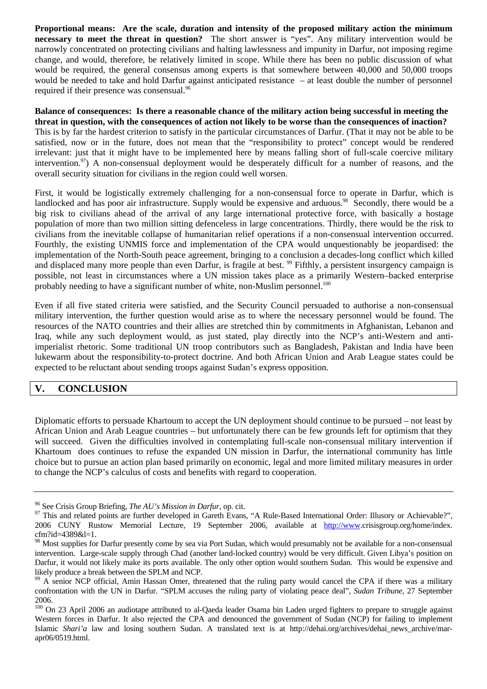**Proportional means: Are the scale, duration and intensity of the proposed military action the minimum necessary to meet the threat in question?** The short answer is "yes". Any military intervention would be narrowly concentrated on protecting civilians and halting lawlessness and impunity in Darfur, not imposing regime change, and would, therefore, be relatively limited in scope. While there has been no public discussion of what would be required, the general consensus among experts is that somewhere between 40,000 and 50,000 troops would be needed to take and hold Darfur against anticipated resistance – at least double the number of personnel required if their presence was consensual.<sup>96</sup>

**Balance of consequences: Is there a reasonable chance of the military action being successful in meeting the threat in question, with the consequences of action not likely to be worse than the consequences of inaction?** This is by far the hardest criterion to satisfy in the particular circumstances of Darfur. (That it may not be able to be satisfied, now or in the future, does not mean that the "responsibility to protect" concept would be rendered irrelevant: just that it might have to be implemented here by means falling short of full-scale coercive military intervention.<sup>97</sup>) A non-consensual deployment would be desperately difficult for a number of reasons, and the overall security situation for civilians in the region could well worsen.

First, it would be logistically extremely challenging for a non-consensual force to operate in Darfur, which is landlocked and has poor air infrastructure. Supply would be expensive and arduous.<sup>98</sup> Secondly, there would be a big risk to civilians ahead of the arrival of any large international protective force, with basically a hostage population of more than two million sitting defenceless in large concentrations. Thirdly, there would be the risk to civilians from the inevitable collapse of humanitarian relief operations if a non-consensual intervention occurred. Fourthly, the existing UNMIS force and implementation of the CPA would unquestionably be jeopardised: the implementation of the North-South peace agreement, bringing to a conclusion a decades-long conflict which killed and displaced many more people than even Darfur, is fragile at best. <sup>99</sup> Fifthly, a persistent insurgency campaign is possible, not least in circumstances where a UN mission takes place as a primarily Western–backed enterprise probably needing to have a significant number of white, non-Muslim personnel.<sup>100</sup>

Even if all five stated criteria were satisfied, and the Security Council persuaded to authorise a non-consensual military intervention, the further question would arise as to where the necessary personnel would be found. The resources of the NATO countries and their allies are stretched thin by commitments in Afghanistan, Lebanon and Iraq, while any such deployment would, as just stated, play directly into the NCP's anti-Western and antiimperialist rhetoric. Some traditional UN troop contributors such as Bangladesh, Pakistan and India have been lukewarm about the responsibility-to-protect doctrine. And both African Union and Arab League states could be expected to be reluctant about sending troops against Sudan's express opposition.

# **V. CONCLUSION**

Diplomatic efforts to persuade Khartoum to accept the UN deployment should continue to be pursued – not least by African Union and Arab League countries – but unfortunately there can be few grounds left for optimism that they will succeed. Given the difficulties involved in contemplating full-scale non-consensual military intervention if Khartoum does continues to refuse the expanded UN mission in Darfur, the international community has little choice but to pursue an action plan based primarily on economic, legal and more limited military measures in order to change the NCP's calculus of costs and benefits with regard to cooperation.

<span id="page-17-1"></span><span id="page-17-0"></span>

<sup>&</sup>lt;sup>96</sup> See Crisis Group Briefing, *The AU's Mission in Darfur*, op. cit.<br><sup>97</sup> This and related points are further developed in Gareth Evans, "A Rule-Based International Order: Illusory or Achievable?", 2006 CUNY Rustow Memorial Lecture, 19 September 2006, available at [http://www](http://www/).crisisgroup.org/home/index. cfm?id=4389&l=1.

<span id="page-17-2"></span><sup>&</sup>lt;sup>98</sup> Most supplies for Darfur presently come by sea via Port Sudan, which would presumably not be available for a non-consensual intervention. Large-scale supply through Chad (another land-locked country) would be very difficult. Given Libya's position on Darfur, it would not likely make its ports available. The only other option would southern Sudan. This would be expensive and likely produce a break between the SPLM and NCP.

<span id="page-17-3"></span><sup>&</sup>lt;sup>99</sup> A senior NCP official, Amin Hassan Omer, threatened that the ruling party would cancel the CPA if there was a military confrontation with the UN in Darfur. "SPLM accuses the ruling party of violating peace deal", *Sudan Tribune*, 27 September 2006.

<span id="page-17-4"></span><sup>&</sup>lt;sup>100</sup> On 23 April 2006 an audiotape attributed to al-Qaeda leader Osama bin Laden urged fighters to prepare to struggle against Western forces in Darfur. It also rejected the CPA and denounced the government of Sudan (NCP) for failing to implement Islamic *Shari'a* law and losing southern Sudan. A translated text is at http://dehai.org/archives/dehai\_news\_archive/marapr06/0519.html.